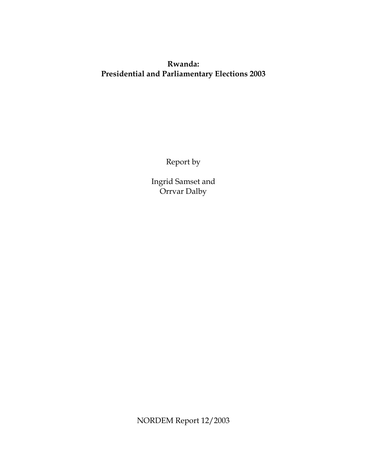# **Rwanda: Presidential and Parliamentary Elections 2003**

Report by

Ingrid Samset and Orrvar Dalby

NORDEM Report 12/2003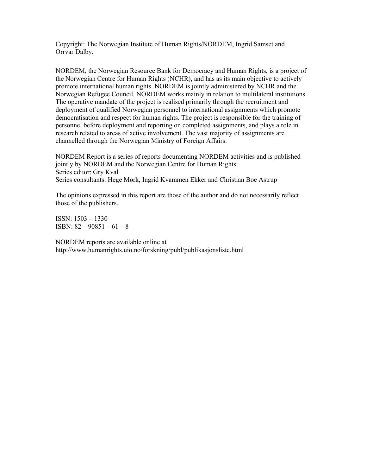Copyright: The Norwegian Institute of Human Rights/NORDEM, Ingrid Samset and Orrvar Dalby.

NORDEM, the Norwegian Resource Bank for Democracy and Human Rights, is a project of the Norwegian Centre for Human Rights (NCHR), and has as its main objective to actively promote international human rights. NORDEM is jointly administered by NCHR and the Norwegian Refugee Council. NORDEM works mainly in relation to multilateral institutions. The operative mandate of the project is realised primarily through the recruitment and deployment of qualified Norwegian personnel to international assignments which promote democratisation and respect for human rights. The project is responsible for the training of personnel before deployment and reporting on completed assignments, and plays a role in research related to areas of active involvement. The vast majority of assignments are channelled through the Norwegian Ministry of Foreign Affairs.

NORDEM Report is a series of reports documenting NORDEM activities and is published jointly by NORDEM and the Norwegian Centre for Human Rights. Series editor: Gry Kval Series consultants: Hege Mørk, Ingrid Kvammen Ekker and Christian Boe Astrup

The opinions expressed in this report are those of the author and do not necessarily reflect those of the publishers.

ISSN: 1503 – 1330 ISBN: 82 – 90851 – 61 – 8

NORDEM reports are available online at http://www.humanrights.uio.no/forskning/publ/publikasjonsliste.html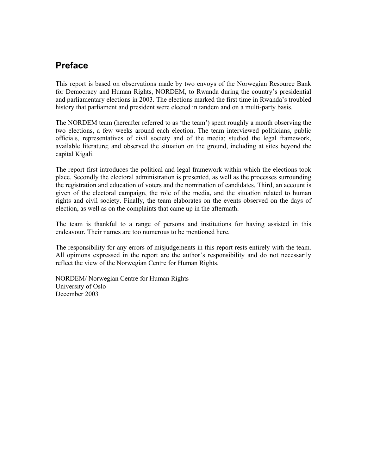# **Preface**

This report is based on observations made by two envoys of the Norwegian Resource Bank for Democracy and Human Rights, NORDEM, to Rwanda during the country's presidential and parliamentary elections in 2003. The elections marked the first time in Rwanda's troubled history that parliament and president were elected in tandem and on a multi-party basis.

The NORDEM team (hereafter referred to as 'the team') spent roughly a month observing the two elections, a few weeks around each election. The team interviewed politicians, public officials, representatives of civil society and of the media; studied the legal framework, available literature; and observed the situation on the ground, including at sites beyond the capital Kigali.

The report first introduces the political and legal framework within which the elections took place. Secondly the electoral administration is presented, as well as the processes surrounding the registration and education of voters and the nomination of candidates. Third, an account is given of the electoral campaign, the role of the media, and the situation related to human rights and civil society. Finally, the team elaborates on the events observed on the days of election, as well as on the complaints that came up in the aftermath.

The team is thankful to a range of persons and institutions for having assisted in this endeavour. Their names are too numerous to be mentioned here.

The responsibility for any errors of misjudgements in this report rests entirely with the team. All opinions expressed in the report are the author's responsibility and do not necessarily reflect the view of the Norwegian Centre for Human Rights.

NORDEM/ Norwegian Centre for Human Rights University of Oslo December 2003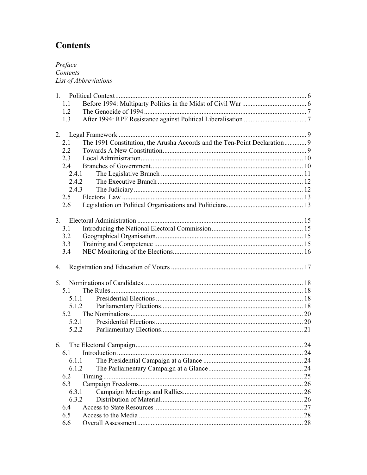# **Contents**

Preface<br>Contents List of Abbreviations

| 11<br>1.2<br>1.3<br>The 1991 Constitution, the Arusha Accords and the Ten-Point Declaration 9<br>2.1<br>2.2<br>2.3 |  |
|--------------------------------------------------------------------------------------------------------------------|--|
|                                                                                                                    |  |
|                                                                                                                    |  |
|                                                                                                                    |  |
|                                                                                                                    |  |
|                                                                                                                    |  |
|                                                                                                                    |  |
|                                                                                                                    |  |
| 2.4                                                                                                                |  |
| 2.4.1                                                                                                              |  |
| 2.4.2                                                                                                              |  |
| 2.4.3                                                                                                              |  |
| 2.5                                                                                                                |  |
| 2.6                                                                                                                |  |
|                                                                                                                    |  |
|                                                                                                                    |  |
| 3.1                                                                                                                |  |
| 3.2                                                                                                                |  |
| 3.3                                                                                                                |  |
| 3.4                                                                                                                |  |
| $\overline{4}$ .                                                                                                   |  |
| 5 <sub>1</sub>                                                                                                     |  |
| 5.1                                                                                                                |  |
| 5 1 1                                                                                                              |  |
| 5.1.2                                                                                                              |  |
| 5.2                                                                                                                |  |
| 5.2.1                                                                                                              |  |
| 5.2.2                                                                                                              |  |
|                                                                                                                    |  |
| 6.1                                                                                                                |  |
|                                                                                                                    |  |
| 6.1.2                                                                                                              |  |
| 6.2                                                                                                                |  |
| 6.3                                                                                                                |  |
| 6.3.1                                                                                                              |  |
| 6.3.2                                                                                                              |  |
| 6.4                                                                                                                |  |
|                                                                                                                    |  |
| 6.5                                                                                                                |  |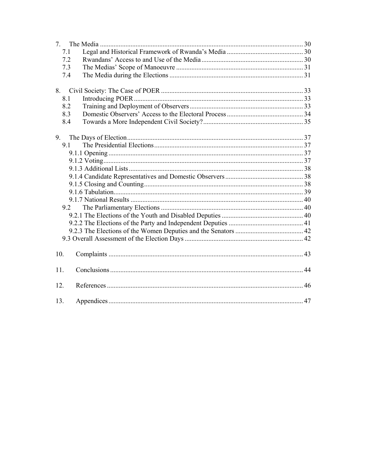| 7.  |  |
|-----|--|
| 7.1 |  |
| 7.2 |  |
| 7.3 |  |
| 7.4 |  |
| 8.  |  |
| 8.1 |  |
| 8.2 |  |
| 8.3 |  |
| 8.4 |  |
| 9.  |  |
| 9.1 |  |
|     |  |
|     |  |
|     |  |
|     |  |
|     |  |
|     |  |
|     |  |
| 9.2 |  |
|     |  |
|     |  |
|     |  |
|     |  |
|     |  |
| 10. |  |
| 11. |  |
| 12. |  |
| 13. |  |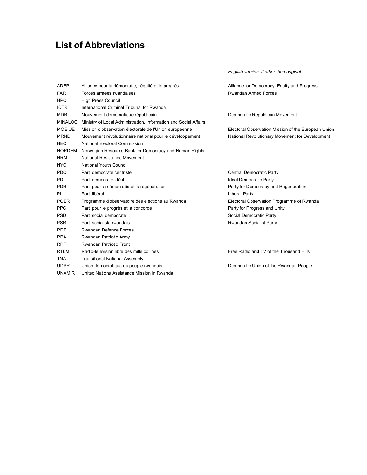# **List of Abbreviations**

*English version, if other than original* 

| <b>ADEP</b>    | Alliance pour la démocratie, l'équité et le progrès              | Alliance for Democracy, Equity and Progress         |
|----------------|------------------------------------------------------------------|-----------------------------------------------------|
| <b>FAR</b>     | Forces armées rwandaises                                         | <b>Rwandan Armed Forces</b>                         |
| <b>HPC</b>     | <b>High Press Council</b>                                        |                                                     |
| <b>ICTR</b>    | International Criminal Tribunal for Rwanda                       |                                                     |
| <b>MDR</b>     | Mouvement démocratique républicain                               | Democratic Republican Movement                      |
| <b>MINALOC</b> | Ministry of Local Administration, Information and Social Affairs |                                                     |
| MOE UE         | Mission d'observation électorale de l'Union européenne           | Electoral Observation Mission of the European Union |
| <b>MRND</b>    | Mouvement révolutionnaire national pour le développement         | National Revolutionary Movement for Development     |
| <b>NEC</b>     | <b>National Electoral Commission</b>                             |                                                     |
| <b>NORDEM</b>  | Norwegian Resource Bank for Democracy and Human Rights           |                                                     |
| <b>NRM</b>     | National Resistance Movement                                     |                                                     |
| <b>NYC</b>     | National Youth Council                                           |                                                     |
| <b>PDC</b>     | Parti démocrate centriste                                        | Central Democratic Party                            |
| <b>PDI</b>     | Parti démocrate idéal                                            | Ideal Democratic Party                              |
| <b>PDR</b>     | Parti pour la démocratie et la régénération                      | Party for Democracy and Regeneration                |
| PL             | Parti libéral                                                    | Liberal Party                                       |
| <b>POER</b>    | Programme d'observatoire des élections au Rwanda                 | Electoral Observation Programme of Rwanda           |
| <b>PPC</b>     | Parti pour le progrès et la concorde                             | Party for Progress and Unity                        |
| <b>PSD</b>     | Parti social démocrate                                           | Social Democratic Party                             |
| <b>PSR</b>     | Parti socialiste rwandais                                        | Rwandan Socialist Party                             |
| <b>RDF</b>     | <b>Rwandan Defence Forces</b>                                    |                                                     |
| <b>RPA</b>     | Rwandan Patriotic Army                                           |                                                     |
| <b>RPF</b>     | <b>Rwandan Patriotic Front</b>                                   |                                                     |
| <b>RTLM</b>    | Radio-télévision libre des mille collines                        | Free Radio and TV of the Thousand Hills             |
| <b>TNA</b>     | <b>Transitional National Assembly</b>                            |                                                     |
| <b>UDPR</b>    | Union démocratique du peuple rwandais                            | Democratic Union of the Rwandan People              |
| <b>UNAMIR</b>  | United Nations Assistance Mission in Rwanda                      |                                                     |
|                |                                                                  |                                                     |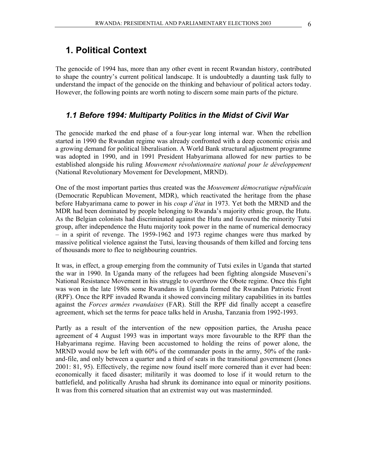The genocide of 1994 has, more than any other event in recent Rwandan history, contributed to shape the country's current political landscape. It is undoubtedly a daunting task fully to understand the impact of the genocide on the thinking and behaviour of political actors today. However, the following points are worth noting to discern some main parts of the picture.

#### *1.1 Before 1994: Multiparty Politics in the Midst of Civil War*

The genocide marked the end phase of a four-year long internal war. When the rebellion started in 1990 the Rwandan regime was already confronted with a deep economic crisis and a growing demand for political liberalisation. A World Bank structural adjustment programme was adopted in 1990, and in 1991 President Habyarimana allowed for new parties to be established alongside his ruling *Mouvement révolutionnaire national pour le développement* (National Revolutionary Movement for Development, MRND).

One of the most important parties thus created was the *Mouvement démocratique républicain* (Democratic Republican Movement, MDR), which reactivated the heritage from the phase before Habyarimana came to power in his *coup d'état* in 1973. Yet both the MRND and the MDR had been dominated by people belonging to Rwanda's majority ethnic group, the Hutu. As the Belgian colonists had discriminated against the Hutu and favoured the minority Tutsi group, after independence the Hutu majority took power in the name of numerical democracy – in a spirit of revenge. The 1959-1962 and 1973 regime changes were thus marked by massive political violence against the Tutsi, leaving thousands of them killed and forcing tens of thousands more to flee to neighbouring countries.

It was, in effect, a group emerging from the community of Tutsi exiles in Uganda that started the war in 1990. In Uganda many of the refugees had been fighting alongside Museveni's National Resistance Movement in his struggle to overthrow the Obote regime. Once this fight was won in the late 1980s some Rwandans in Uganda formed the Rwandan Patriotic Front (RPF). Once the RPF invaded Rwanda it showed convincing military capabilities in its battles against the *Forces armées rwandaises* (FAR). Still the RPF did finally accept a ceasefire agreement, which set the terms for peace talks held in Arusha, Tanzania from 1992-1993.

Partly as a result of the intervention of the new opposition parties, the Arusha peace agreement of 4 August 1993 was in important ways more favourable to the RPF than the Habyarimana regime. Having been accustomed to holding the reins of power alone, the MRND would now be left with 60% of the commander posts in the army, 50% of the rankand-file, and only between a quarter and a third of seats in the transitional government (Jones 2001: 81, 95). Effectively, the regime now found itself more cornered than it ever had been: economically it faced disaster; militarily it was doomed to lose if it would return to the battlefield, and politically Arusha had shrunk its dominance into equal or minority positions. It was from this cornered situation that an extremist way out was masterminded.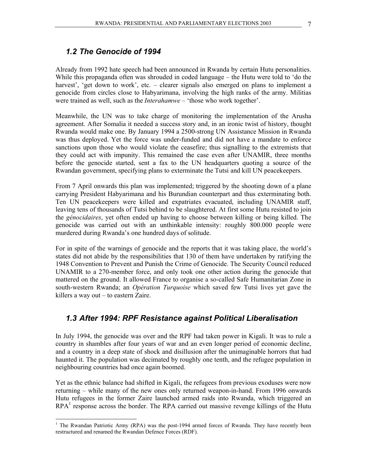Already from 1992 hate speech had been announced in Rwanda by certain Hutu personalities. While this propaganda often was shrouded in coded language – the Hutu were told to 'do the harvest', 'get down to work', etc. - clearer signals also emerged on plans to implement a genocide from circles close to Habyarimana, involving the high ranks of the army. Militias were trained as well, such as the *Interahamwe* – 'those who work together'.

Meanwhile, the UN was to take charge of monitoring the implementation of the Arusha agreement. After Somalia it needed a success story and, in an ironic twist of history, thought Rwanda would make one. By January 1994 a 2500-strong UN Assistance Mission in Rwanda was thus deployed. Yet the force was under-funded and did not have a mandate to enforce sanctions upon those who would violate the ceasefire; thus signalling to the extremists that they could act with impunity. This remained the case even after UNAMIR, three months before the genocide started, sent a fax to the UN headquarters quoting a source of the Rwandan government, specifying plans to exterminate the Tutsi and kill UN peacekeepers.

From 7 April onwards this plan was implemented; triggered by the shooting down of a plane carrying President Habyarimana and his Burundian counterpart and thus exterminating both. Ten UN peacekeepers were killed and expatriates evacuated, including UNAMIR staff, leaving tens of thousands of Tutsi behind to be slaughtered. At first some Hutu resisted to join the *génocidaires*, yet often ended up having to choose between killing or being killed. The genocide was carried out with an unthinkable intensity: roughly 800.000 people were murdered during Rwanda's one hundred days of solitude.

For in spite of the warnings of genocide and the reports that it was taking place, the world's states did not abide by the responsibilities that 130 of them have undertaken by ratifying the 1948 Convention to Prevent and Punish the Crime of Genocide. The Security Council reduced UNAMIR to a 270-member force, and only took one other action during the genocide that mattered on the ground. It allowed France to organise a so-called Safe Humanitarian Zone in south-western Rwanda; an *Opération Turquoise* which saved few Tutsi lives yet gave the killers a way out – to eastern Zaire.

### *1.3 After 1994: RPF Resistance against Political Liberalisation*

In July 1994, the genocide was over and the RPF had taken power in Kigali. It was to rule a country in shambles after four years of war and an even longer period of economic decline, and a country in a deep state of shock and disillusion after the unimaginable horrors that had haunted it. The population was decimated by roughly one tenth, and the refugee population in neighbouring countries had once again boomed.

Yet as the ethnic balance had shifted in Kigali, the refugees from previous exoduses were now returning – while many of the new ones only returned weapon-in-hand. From 1996 onwards Hutu refugees in the former Zaire launched armed raids into Rwanda, which triggered an  $RPA<sup>1</sup>$  response across the border. The RPA carried out massive revenge killings of the Hutu

<sup>&</sup>lt;sup>1</sup> The Rwandan Patriotic Army (RPA) was the post-1994 armed forces of Rwanda. They have recently been restructured and renamed the Rwandan Defence Forces (RDF).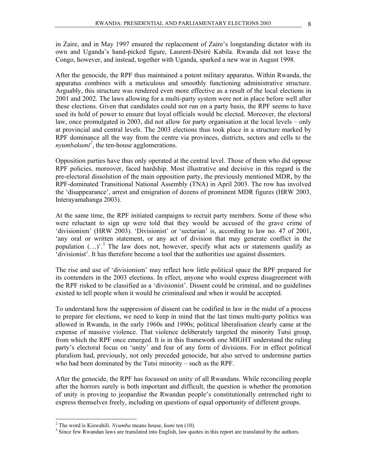in Zaire, and in May 1997 ensured the replacement of Zaire's longstanding dictator with its own and Uganda's hand-picked figure, Laurent-Désiré Kabila. Rwanda did not leave the Congo, however, and instead, together with Uganda, sparked a new war in August 1998.

After the genocide, the RPF thus maintained a potent military apparatus. Within Rwanda, the apparatus combines with a meticulous and smoothly functioning administrative structure. Arguably, this structure was rendered even more effective as a result of the local elections in 2001 and 2002. The laws allowing for a multi-party system were not in place before well after these elections. Given that candidates could not run on a party basis, the RPF seems to have used its hold of power to ensure that loyal officials would be elected. Moreover, the electoral law, once promulgated in 2003, did not allow for party organisation at the local levels – only at provincial and central levels. The 2003 elections thus took place in a structure marked by RPF dominance all the way from the centre via provinces, districts, sectors and cells to the *nyumbakumi<sup>2</sup>* , the ten-house agglomerations.

Opposition parties have thus only operated at the central level. Those of them who did oppose RPF policies, moreover, faced hardship. Most illustrative and decisive in this regard is the pre-electoral dissolution of the main opposition party, the previously mentioned MDR, by the RPF-dominated Transitional National Assembly (TNA) in April 2003. The row has involved the 'disappearance', arrest and emigration of dozens of prominent MDR figures (HRW 2003, Interayamahanga 2003).

At the same time, the RPF initiated campaigns to recruit party members. Some of those who were reluctant to sign up were told that they would be accused of the grave crime of 'divisionism' (HRW 2003). 'Divisionist' or 'sectarian' is, according to law no. 47 of 2001, 'any oral or written statement, or any act of division that may generate conflict in the population  $(...)^3$ . The law does not, however, specify what acts or statements qualify as 'divisionist'. It has therefore become a tool that the authorities use against dissenters.

The rise and use of 'divisionism' may reflect how little political space the RPF prepared for its contenders in the 2003 elections. In effect, anyone who would express disagreement with the RPF risked to be classified as a 'divisionist'. Dissent could be criminal, and no guidelines existed to tell people when it would be criminalised and when it would be accepted.

To understand how the suppression of dissent can be codified in law in the midst of a process to prepare for elections, we need to keep in mind that the last times multi-party politics was allowed in Rwanda, in the early 1960s and 1990s; political liberalisation clearly came at the expense of massive violence. That violence deliberately targeted the minority Tutsi group, from which the RPF once emerged. It is in this framework one MIGHT understand the ruling party's electoral focus on 'unity' and fear of any form of divisions. For in effect political pluralism had, previously, not only preceded genocide, but also served to undermine parties who had been dominated by the Tutsi minority – such as the RPF.

After the genocide, the RPF has focussed on unity of all Rwandans. While reconciling people after the horrors surely is both important and difficult, the question is whether the promotion of unity is proving to jeopardise the Rwandan people's constitutionally entrenched right to express themselves freely, including on questions of equal opportunity of different groups.

<sup>&</sup>lt;sup>2</sup> The word is Kiswahili. *Nyumba* means house, *kumi* ten (10).  $\frac{3}{2}$  Since four Pyranden lows are translated into English Jow and

<sup>&</sup>lt;sup>3</sup> Since few Rwandan laws are translated into English, law quotes in this report are translated by the authors.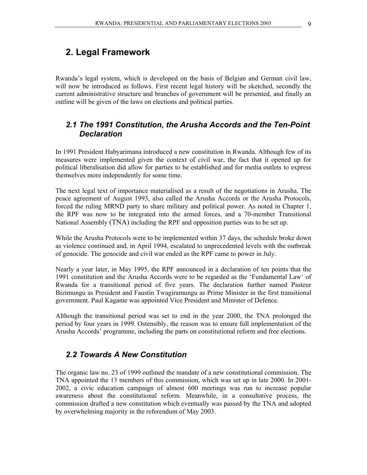# **2. Legal Framework**

Rwanda's legal system, which is developed on the basis of Belgian and German civil law, will now be introduced as follows. First recent legal history will be sketched, secondly the current administrative structure and branches of government will be presented, and finally an outline will be given of the laws on elections and political parties.

# *2.1 The 1991 Constitution, the Arusha Accords and the Ten-Point Declaration*

In 1991 President Habyarimana introduced a new constitution in Rwanda. Although few of its measures were implemented given the context of civil war, the fact that it opened up for political liberalisation did allow for parties to be established and for media outlets to express themselves more independently for some time.

The next legal text of importance materialised as a result of the negotiations in Arusha. The peace agreement of August 1993, also called the Arusha Accords or the Arusha Protocols, forced the ruling MRND party to share military and political power. As noted in Chapter 1, the RPF was now to be integrated into the armed forces, and a 70-member Transitional National Assembly (TNA) including the RPF and opposition parties was to be set up.

While the Arusha Protocols were to be implemented within 37 days, the schedule broke down as violence continued and, in April 1994, escalated to unprecedented levels with the outbreak of genocide. The genocide and civil war ended as the RPF came to power in July.

Nearly a year later, in May 1995, the RPF announced in a declaration of ten points that the 1991 constitution and the Arusha Accords were to be regarded as the 'Fundamental Law' of Rwanda for a transitional period of five years. The declaration further named Pasteur Bizimungu as President and Faustin Twagiramungu as Prime Minister in the first transitional government. Paul Kagame was appointed Vice President and Minister of Defence.

Although the transitional period was set to end in the year 2000, the TNA prolonged the period by four years in 1999. Ostensibly, the reason was to ensure full implementation of the Arusha Accords' programme, including the parts on constitutional reform and free elections.

### *2.2 Towards A New Constitution*

The organic law no. 23 of 1999 outlined the mandate of a new constitutional commission. The TNA appointed the 13 members of this commission, which was set up in late 2000. In 2001- 2002, a civic education campaign of almost 600 meetings was run to increase popular awareness about the constitutional reform. Meanwhile, in a consultative process, the commission drafted a new constitution which eventually was passed by the TNA and adopted by overwhelming majority in the referendum of May 2003.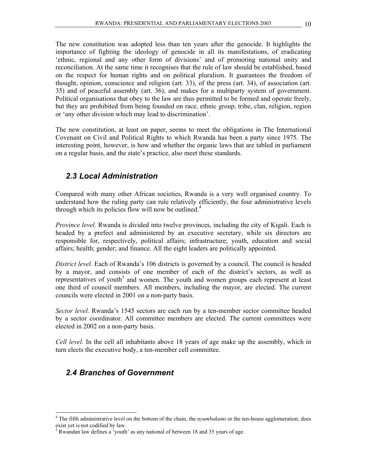The new constitution was adopted less than ten years after the genocide. It highlights the importance of fighting the ideology of genocide in all its manifestations, of eradicating 'ethnic, regional and any other form of divisions' and of promoting national unity and reconciliation. At the same time it recognises that the rule of law should be established, based on the respect for human rights and on political pluralism. It guarantees the freedom of thought, opinion, conscience and religion (art. 33), of the press (art. 34), of association (art. 35) and of peaceful assembly (art. 36), and makes for a multiparty system of government. Political organisations that obey to the law are thus permitted to be formed and operate freely, but they are prohibited from being founded on race, ethnic group, tribe, clan, religion, region or 'any other division which may lead to discrimination'.

The new constitution, at least on paper, seems to meet the obligations in The International Covenant on Civil and Political Rights to which Rwanda has been a party since 1975. The interesting point, however, is how and whether the organic laws that are tabled in parliament on a regular basis, and the state's practice, also meet these standards.

# *2.3 Local Administration*

Compared with many other African societies, Rwanda is a very well organised country. To understand how the ruling party can rule relatively efficiently, the four administrative levels through which its policies flow will now be outlined. $4$ 

*Province level.* Rwanda is divided into twelve provinces, including the city of Kigali. Each is headed by a prefect and administered by an executive secretary, while six directors are responsible for, respectively, political affairs; infrastructure; youth, education and social affairs; health; gender; and finance. All the eight leaders are politically appointed.

*District level.* Each of Rwanda's 106 districts is governed by a council. The council is headed by a mayor, and consists of one member of each of the district's sectors, as well as representatives of youth<sup>5</sup> and women. The youth and women groups each represent at least one third of council members. All members, including the mayor, are elected. The current councils were elected in 2001 on a non-party basis.

*Sector level.* Rwanda's 1545 sectors are each run by a ten-member sector committee headed by a sector coordinator. All committee members are elected. The current committees were elected in 2002 on a non-party basis.

*Cell level.* In the cell all inhabitants above 18 years of age make up the assembly, which in turn elects the executive body, a ten-member cell committee.

# *2.4 Branches of Government*

<sup>&</sup>lt;sup>4</sup> The fifth administrative level on the bottom of the chain, the *nyumbakumi* or the ten-house agglomeration, does exist yet is not codified by law.

<sup>&</sup>lt;sup>5</sup> Rwandan law defines a 'youth' as any national of between 18 and 35 years of age.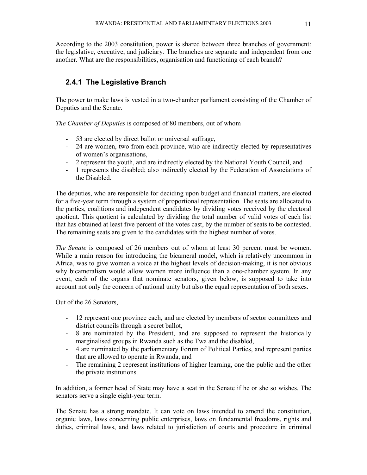According to the 2003 constitution, power is shared between three branches of government: the legislative, executive, and judiciary. The branches are separate and independent from one another. What are the responsibilities, organisation and functioning of each branch?

# **2.4.1 The Legislative Branch**

The power to make laws is vested in a two-chamber parliament consisting of the Chamber of Deputies and the Senate.

*The Chamber of Deputies* is composed of 80 members, out of whom

- 53 are elected by direct ballot or universal suffrage,
- 24 are women, two from each province, who are indirectly elected by representatives of women's organisations,
- 2 represent the youth, and are indirectly elected by the National Youth Council, and
- 1 represents the disabled; also indirectly elected by the Federation of Associations of the Disabled.

The deputies, who are responsible for deciding upon budget and financial matters, are elected for a five-year term through a system of proportional representation. The seats are allocated to the parties, coalitions and independent candidates by dividing votes received by the electoral quotient. This quotient is calculated by dividing the total number of valid votes of each list that has obtained at least five percent of the votes cast, by the number of seats to be contested. The remaining seats are given to the candidates with the highest number of votes.

*The Senate* is composed of 26 members out of whom at least 30 percent must be women. While a main reason for introducing the bicameral model, which is relatively uncommon in Africa, was to give women a voice at the highest levels of decision-making, it is not obvious why bicameralism would allow women more influence than a one-chamber system. In any event, each of the organs that nominate senators, given below, is supposed to take into account not only the concern of national unity but also the equal representation of both sexes.

Out of the 26 Senators,

- 12 represent one province each, and are elected by members of sector committees and district councils through a secret ballot,
- 8 are nominated by the President, and are supposed to represent the historically marginalised groups in Rwanda such as the Twa and the disabled,
- 4 are nominated by the parliamentary Forum of Political Parties, and represent parties that are allowed to operate in Rwanda, and
- The remaining 2 represent institutions of higher learning, one the public and the other the private institutions.

In addition, a former head of State may have a seat in the Senate if he or she so wishes. The senators serve a single eight-year term.

The Senate has a strong mandate. It can vote on laws intended to amend the constitution, organic laws, laws concerning public enterprises, laws on fundamental freedoms, rights and duties, criminal laws, and laws related to jurisdiction of courts and procedure in criminal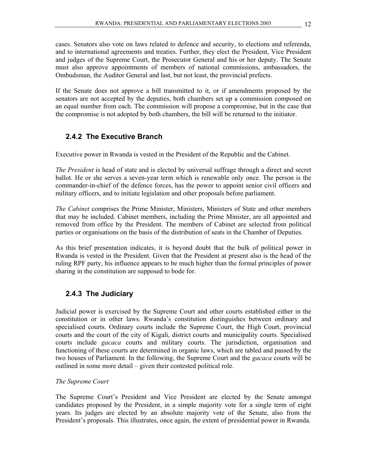cases. Senators also vote on laws related to defence and security, to elections and referenda, and to international agreements and treaties. Further, they elect the President, Vice President and judges of the Supreme Court, the Prosecutor General and his or her deputy. The Senate must also approve appointments of members of national commissions, ambassadors, the Ombudsman, the Auditor General and last, but not least, the provincial prefects.

If the Senate does not approve a bill transmitted to it, or if amendments proposed by the senators are not accepted by the deputies, both chambers set up a commission composed on an equal number from each. The commission will propose a compromise, but in the case that the compromise is not adopted by both chambers, the bill will be returned to the initiator.

# **2.4.2 The Executive Branch**

Executive power in Rwanda is vested in the President of the Republic and the Cabinet.

*The President* is head of state and is elected by universal suffrage through a direct and secret ballot. He or she serves a seven-year term which is renewable only once. The person is the commander-in-chief of the defence forces, has the power to appoint senior civil officers and military officers, and to initiate legislation and other proposals before parliament.

*The Cabinet* comprises the Prime Minister, Ministers, Ministers of State and other members that may be included. Cabinet members, including the Prime Minister, are all appointed and removed from office by the President. The members of Cabinet are selected from political parties or organisations on the basis of the distribution of seats in the Chamber of Deputies.

As this brief presentation indicates, it is beyond doubt that the bulk of political power in Rwanda is vested in the President. Given that the President at present also is the head of the ruling RPF party, his influence appears to be much higher than the formal principles of power sharing in the constitution are supposed to bode for.

### **2.4.3 The Judiciary**

Judicial power is exercised by the Supreme Court and other courts established either in the constitution or in other laws. Rwanda's constitution distinguishes between ordinary and specialised courts. Ordinary courts include the Supreme Court, the High Court, provincial courts and the court of the city of Kigali, district courts and municipality courts. Specialised courts include *gacaca* courts and military courts. The jurisdiction, organisation and functioning of these courts are determined in organic laws, which are tabled and passed by the two houses of Parliament. In the following, the Supreme Court and the *gacaca* courts will be outlined in some more detail – given their contested political role.

#### *The Supreme Court*

The Supreme Court's President and Vice President are elected by the Senate amongst candidates proposed by the President, in a simple majority vote for a single term of eight years. Its judges are elected by an absolute majority vote of the Senate, also from the President's proposals. This illustrates, once again, the extent of presidential power in Rwanda.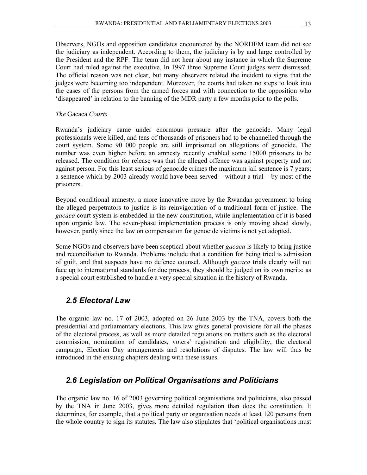Observers, NGOs and opposition candidates encountered by the NORDEM team did not see the judiciary as independent. According to them, the judiciary is by and large controlled by the President and the RPF. The team did not hear about any instance in which the Supreme Court had ruled against the executive. In 1997 three Supreme Court judges were dismissed. The official reason was not clear, but many observers related the incident to signs that the judges were becoming too independent. Moreover, the courts had taken no steps to look into the cases of the persons from the armed forces and with connection to the opposition who 'disappeared' in relation to the banning of the MDR party a few months prior to the polls.

#### *The* Gacaca *Courts*

Rwanda's judiciary came under enormous pressure after the genocide. Many legal professionals were killed, and tens of thousands of prisoners had to be channelled through the court system. Some 90 000 people are still imprisoned on allegations of genocide. The number was even higher before an amnesty recently enabled some 15000 prisoners to be released. The condition for release was that the alleged offence was against property and not against person. For this least serious of genocide crimes the maximum jail sentence is 7 years; a sentence which by 2003 already would have been served – without a trial – by most of the prisoners.

Beyond conditional amnesty, a more innovative move by the Rwandan government to bring the alleged perpetrators to justice is its reinvigoration of a traditional form of justice. The *gacaca* court system is embedded in the new constitution, while implementation of it is based upon organic law. The seven-phase implementation process is only moving ahead slowly, however, partly since the law on compensation for genocide victims is not yet adopted.

Some NGOs and observers have been sceptical about whether *gacaca* is likely to bring justice and reconciliation to Rwanda. Problems include that a condition for being tried is admission of guilt, and that suspects have no defence counsel. Although *gacaca* trials clearly will not face up to international standards for due process, they should be judged on its own merits: as a special court established to handle a very special situation in the history of Rwanda.

### *2.5 Electoral Law*

The organic law no. 17 of 2003, adopted on 26 June 2003 by the TNA, covers both the presidential and parliamentary elections. This law gives general provisions for all the phases of the electoral process, as well as more detailed regulations on matters such as the electoral commission, nomination of candidates, voters' registration and eligibility, the electoral campaign, Election Day arrangements and resolutions of disputes. The law will thus be introduced in the ensuing chapters dealing with these issues.

# *2.6 Legislation on Political Organisations and Politicians*

The organic law no. 16 of 2003 governing political organisations and politicians, also passed by the TNA in June 2003, gives more detailed regulation than does the constitution. It determines, for example, that a political party or organisation needs at least 120 persons from the whole country to sign its statutes. The law also stipulates that 'political organisations must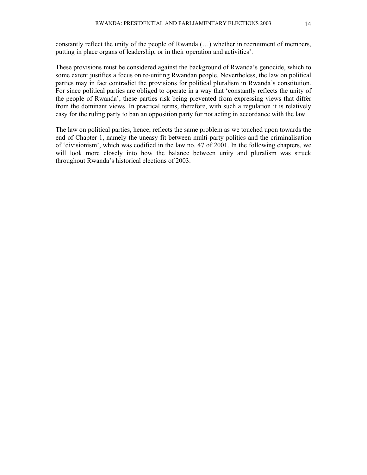constantly reflect the unity of the people of Rwanda (…) whether in recruitment of members, putting in place organs of leadership, or in their operation and activities'.

These provisions must be considered against the background of Rwanda's genocide, which to some extent justifies a focus on re-uniting Rwandan people. Nevertheless, the law on political parties may in fact contradict the provisions for political pluralism in Rwanda's constitution. For since political parties are obliged to operate in a way that 'constantly reflects the unity of the people of Rwanda', these parties risk being prevented from expressing views that differ from the dominant views. In practical terms, therefore, with such a regulation it is relatively easy for the ruling party to ban an opposition party for not acting in accordance with the law.

The law on political parties, hence, reflects the same problem as we touched upon towards the end of Chapter 1, namely the uneasy fit between multi-party politics and the criminalisation of 'divisionism', which was codified in the law no. 47 of 2001. In the following chapters, we will look more closely into how the balance between unity and pluralism was struck throughout Rwanda's historical elections of 2003.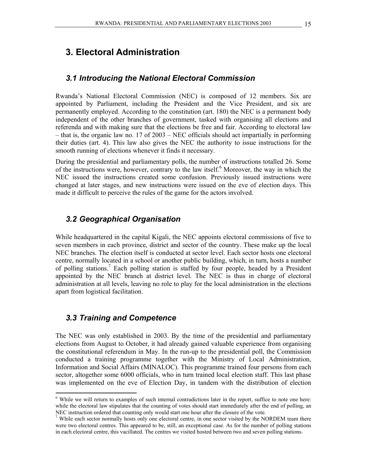# **3. Electoral Administration**

#### *3.1 Introducing the National Electoral Commission*

Rwanda's National Electoral Commission (NEC) is composed of 12 members. Six are appointed by Parliament, including the President and the Vice President, and six are permanently employed. According to the constitution (art. 180) the NEC is a permanent body independent of the other branches of government, tasked with organising all elections and referenda and with making sure that the elections be free and fair. According to electoral law – that is, the organic law no. 17 of 2003 – NEC officials should act impartially in performing their duties (art. 4). This law also gives the NEC the authority to issue instructions for the smooth running of elections whenever it finds it necessary.

During the presidential and parliamentary polls, the number of instructions totalled 26. Some of the instructions were, however, contrary to the law itself.<sup>6</sup> Moreover, the way in which the NEC issued the instructions created some confusion. Previously issued instructions were changed at later stages, and new instructions were issued on the eve of election days. This made it difficult to perceive the rules of the game for the actors involved.

#### *3.2 Geographical Organisation*

While headquartered in the capital Kigali, the NEC appoints electoral commissions of five to seven members in each province, district and sector of the country. These make up the local NEC branches. The election itself is conducted at sector level. Each sector hosts one electoral centre, normally located in a school or another public building, which, in turn, hosts a number of polling stations.<sup>7</sup> Each polling station is staffed by four people, headed by a President appointed by the NEC branch at district level. The NEC is thus in charge of electoral administration at all levels, leaving no role to play for the local administration in the elections apart from logistical facilitation.

#### *3.3 Training and Competence*

 $\overline{a}$ 

The NEC was only established in 2003. By the time of the presidential and parliamentary elections from August to October, it had already gained valuable experience from organising the constitutional referendum in May. In the run-up to the presidential poll, the Commission conducted a training programme together with the Ministry of Local Administration, Information and Social Affairs (MINALOC). This programme trained four persons from each sector, altogether some 6000 officials, who in turn trained local election staff. This last phase was implemented on the eve of Election Day, in tandem with the distribution of election

<sup>&</sup>lt;sup>6</sup> While we will return to examples of such internal contradictions later in the report, suffice to note one here: while the electoral law stipulates that the counting of votes should start immediately after the end of polling, an NEC instruction ordered that counting only would start one hour after the closure of the vote.

<sup>&</sup>lt;sup>7</sup> While each sector normally hosts only one electoral centre, in one sector visited by the NORDEM team there were two electoral centres. This appeared to be, still, an exceptional case. As for the number of polling stations in each electoral centre, this vacillated. The centres we visited hosted between two and seven polling stations.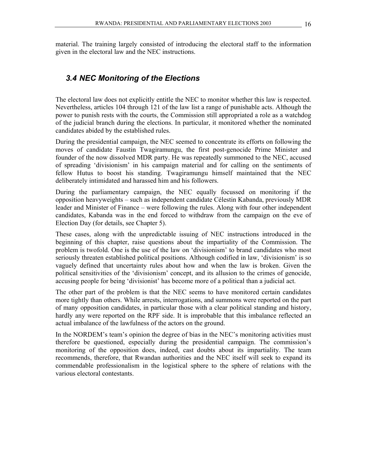material. The training largely consisted of introducing the electoral staff to the information given in the electoral law and the NEC instructions.

# *3.4 NEC Monitoring of the Elections*

The electoral law does not explicitly entitle the NEC to monitor whether this law is respected. Nevertheless, articles 104 through 121 of the law list a range of punishable acts. Although the power to punish rests with the courts, the Commission still appropriated a role as a watchdog of the judicial branch during the elections. In particular, it monitored whether the nominated candidates abided by the established rules.

During the presidential campaign, the NEC seemed to concentrate its efforts on following the moves of candidate Faustin Twagiramungu, the first post-genocide Prime Minister and founder of the now dissolved MDR party. He was repeatedly summoned to the NEC, accused of spreading 'divisionism' in his campaign material and for calling on the sentiments of fellow Hutus to boost his standing. Twagiramungu himself maintained that the NEC deliberately intimidated and harassed him and his followers.

During the parliamentary campaign, the NEC equally focussed on monitoring if the opposition heavyweights – such as independent candidate Célestin Kabanda, previously MDR leader and Minister of Finance – were following the rules. Along with four other independent candidates, Kabanda was in the end forced to withdraw from the campaign on the eve of Election Day (for details, see Chapter 5).

These cases, along with the unpredictable issuing of NEC instructions introduced in the beginning of this chapter, raise questions about the impartiality of the Commission. The problem is twofold. One is the use of the law on 'divisionism' to brand candidates who most seriously threaten established political positions. Although codified in law, 'divisionism' is so vaguely defined that uncertainty rules about how and when the law is broken. Given the political sensitivities of the 'divisionism' concept, and its allusion to the crimes of genocide, accusing people for being 'divisionist' has become more of a political than a judicial act.

The other part of the problem is that the NEC seems to have monitored certain candidates more tightly than others. While arrests, interrogations, and summons were reported on the part of many opposition candidates, in particular those with a clear political standing and history, hardly any were reported on the RPF side. It is improbable that this imbalance reflected an actual imbalance of the lawfulness of the actors on the ground.

In the NORDEM's team's opinion the degree of bias in the NEC's monitoring activities must therefore be questioned, especially during the presidential campaign. The commission's monitoring of the opposition does, indeed, cast doubts about its impartiality. The team recommends, therefore, that Rwandan authorities and the NEC itself will seek to expand its commendable professionalism in the logistical sphere to the sphere of relations with the various electoral contestants.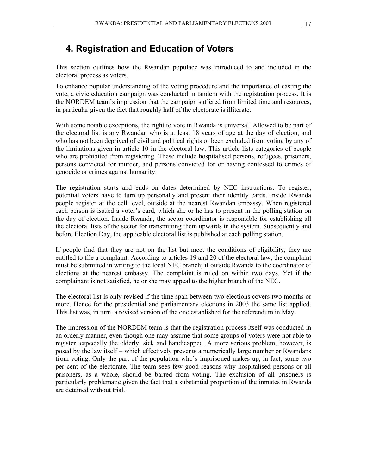# **4. Registration and Education of Voters**

This section outlines how the Rwandan populace was introduced to and included in the electoral process as voters.

To enhance popular understanding of the voting procedure and the importance of casting the vote, a civic education campaign was conducted in tandem with the registration process. It is the NORDEM team's impression that the campaign suffered from limited time and resources, in particular given the fact that roughly half of the electorate is illiterate.

With some notable exceptions, the right to vote in Rwanda is universal. Allowed to be part of the electoral list is any Rwandan who is at least 18 years of age at the day of election, and who has not been deprived of civil and political rights or been excluded from voting by any of the limitations given in article 10 in the electoral law. This article lists categories of people who are prohibited from registering. These include hospitalised persons, refugees, prisoners, persons convicted for murder, and persons convicted for or having confessed to crimes of genocide or crimes against humanity.

The registration starts and ends on dates determined by NEC instructions. To register, potential voters have to turn up personally and present their identity cards. Inside Rwanda people register at the cell level, outside at the nearest Rwandan embassy. When registered each person is issued a voter's card, which she or he has to present in the polling station on the day of election. Inside Rwanda, the sector coordinator is responsible for establishing all the electoral lists of the sector for transmitting them upwards in the system. Subsequently and before Election Day, the applicable electoral list is published at each polling station.

If people find that they are not on the list but meet the conditions of eligibility, they are entitled to file a complaint. According to articles 19 and 20 of the electoral law, the complaint must be submitted in writing to the local NEC branch; if outside Rwanda to the coordinator of elections at the nearest embassy. The complaint is ruled on within two days. Yet if the complainant is not satisfied, he or she may appeal to the higher branch of the NEC.

The electoral list is only revised if the time span between two elections covers two months or more. Hence for the presidential and parliamentary elections in 2003 the same list applied. This list was, in turn, a revised version of the one established for the referendum in May.

The impression of the NORDEM team is that the registration process itself was conducted in an orderly manner, even though one may assume that some groups of voters were not able to register, especially the elderly, sick and handicapped. A more serious problem, however, is posed by the law itself – which effectively prevents a numerically large number or Rwandans from voting. Only the part of the population who's imprisoned makes up, in fact, some two per cent of the electorate. The team sees few good reasons why hospitalised persons or all prisoners, as a whole, should be barred from voting. The exclusion of all prisoners is particularly problematic given the fact that a substantial proportion of the inmates in Rwanda are detained without trial.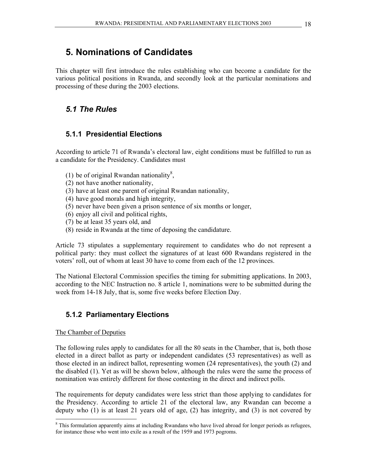# **5. Nominations of Candidates**

This chapter will first introduce the rules establishing who can become a candidate for the various political positions in Rwanda, and secondly look at the particular nominations and processing of these during the 2003 elections.

# *5.1 The Rules*

## **5.1.1 Presidential Elections**

According to article 71 of Rwanda's electoral law, eight conditions must be fulfilled to run as a candidate for the Presidency. Candidates must

- (1) be of original Rwandan nationality<sup>8</sup>,
- (2) not have another nationality,
- (3) have at least one parent of original Rwandan nationality,
- (4) have good morals and high integrity,
- (5) never have been given a prison sentence of six months or longer,
- (6) enjoy all civil and political rights,
- (7) be at least 35 years old, and
- (8) reside in Rwanda at the time of deposing the candidature.

Article 73 stipulates a supplementary requirement to candidates who do not represent a political party: they must collect the signatures of at least 600 Rwandans registered in the voters' roll, out of whom at least 30 have to come from each of the 12 provinces.

The National Electoral Commission specifies the timing for submitting applications. In 2003, according to the NEC Instruction no. 8 article 1, nominations were to be submitted during the week from 14-18 July, that is, some five weeks before Election Day.

# **5.1.2 Parliamentary Elections**

#### The Chamber of Deputies

 $\overline{\phantom{a}}$ 

The following rules apply to candidates for all the 80 seats in the Chamber, that is, both those elected in a direct ballot as party or independent candidates (53 representatives) as well as those elected in an indirect ballot, representing women (24 representatives), the youth (2) and the disabled (1). Yet as will be shown below, although the rules were the same the process of nomination was entirely different for those contesting in the direct and indirect polls.

The requirements for deputy candidates were less strict than those applying to candidates for the Presidency. According to article 21 of the electoral law, any Rwandan can become a deputy who  $(1)$  is at least 21 years old of age,  $(2)$  has integrity, and  $(3)$  is not covered by

<sup>&</sup>lt;sup>8</sup> This formulation apparently aims at including Rwandans who have lived abroad for longer periods as refugees, for instance those who went into exile as a result of the 1959 and 1973 pogroms.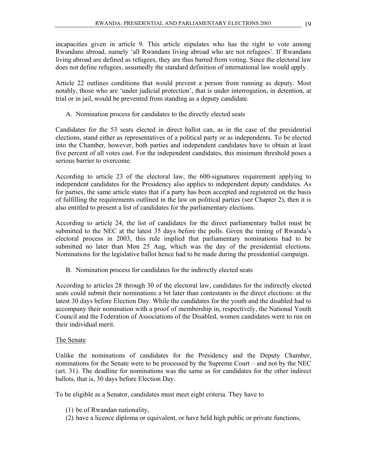incapacities given in article 9. This article stipulates who has the right to vote among Rwandans abroad, namely 'all Rwandans living abroad who are not refugees'. If Rwandans living abroad are defined as refugees, they are thus barred from voting. Since the electoral law does not define refugees, assumedly the standard definition of international law would apply.

Article 22 outlines conditions that would prevent a person from running as deputy. Most notably, those who are 'under judicial protection', that is under interrogation, in detention, at trial or in jail, would be prevented from standing as a deputy candidate.

A. Nomination process for candidates to the directly elected seats

Candidates for the 53 seats elected in direct ballot can, as in the case of the presidential elections, stand either as representatives of a political party or as independents. To be elected into the Chamber, however, both parties and independent candidates have to obtain at least five percent of all votes cast. For the independent candidates, this minimum threshold poses a serious barrier to overcome.

According to article 23 of the electoral law, the 600-signatures requirement applying to independent candidates for the Presidency also applies to independent deputy candidates. As for parties, the same article states that if a party has been accepted and registered on the basis of fulfilling the requirements outlined in the law on political parties (see Chapter 2), then it is also entitled to present a list of candidates for the parliamentary elections.

According to article 24, the list of candidates for the direct parliamentary ballot must be submitted to the NEC at the latest 35 days before the polls. Given the timing of Rwanda's electoral process in 2003, this rule implied that parliamentary nominations had to be submitted no later than Mon 25 Aug, which was the day of the presidential elections. Nominations for the legislative ballot hence had to be made during the presidential campaign.

B. Nomination process for candidates for the indirectly elected seats

According to articles 28 through 30 of the electoral law, candidates for the indirectly elected seats could submit their nominations a bit later than contestants in the direct elections: at the latest 30 days before Election Day. While the candidates for the youth and the disabled had to accompany their nomination with a proof of membership in, respectively, the National Youth Council and the Federation of Associations of the Disabled, women candidates were to run on their individual merit.

#### The Senate

Unlike the nominations of candidates for the Presidency and the Deputy Chamber, nominations for the Senate were to be processed by the Supreme Court – and not by the NEC (art. 31). The deadline for nominations was the same as for candidates for the other indirect ballots, that is, 30 days before Election Day.

To be eligible as a Senator, candidates must meet eight criteria. They have to

- (1) be of Rwandan nationality,
- (2) have a licence diploma or equivalent, or have held high public or private functions,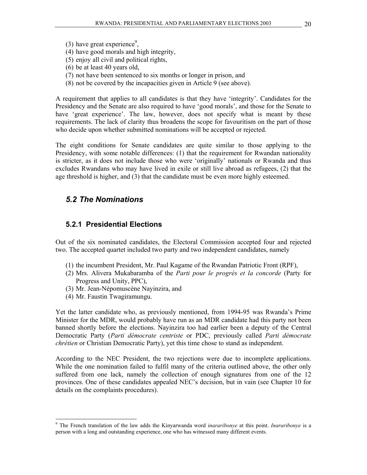- (3) have great experience<sup>9</sup>,
- (4) have good morals and high integrity,
- (5) enjoy all civil and political rights,
- (6) be at least 40 years old,
- (7) not have been sentenced to six months or longer in prison, and
- (8) not be covered by the incapacities given in Article 9 (see above).

A requirement that applies to all candidates is that they have 'integrity'. Candidates for the Presidency and the Senate are also required to have 'good morals', and those for the Senate to have 'great experience'. The law, however, does not specify what is meant by these requirements. The lack of clarity thus broadens the scope for favouritism on the part of those who decide upon whether submitted nominations will be accepted or rejected.

The eight conditions for Senate candidates are quite similar to those applying to the Presidency, with some notable differences: (1) that the requirement for Rwandan nationality is stricter, as it does not include those who were 'originally' nationals or Rwanda and thus excludes Rwandans who may have lived in exile or still live abroad as refugees, (2) that the age threshold is higher, and (3) that the candidate must be even more highly esteemed.

#### *5.2 The Nominations*

#### **5.2.1 Presidential Elections**

Out of the six nominated candidates, the Electoral Commission accepted four and rejected two. The accepted quartet included two party and two independent candidates, namely

- (1) the incumbent President, Mr. Paul Kagame of the Rwandan Patriotic Front (RPF),
- (2) Mrs. Alivera Mukabaramba of the *Parti pour le progrès et la concorde* (Party for Progress and Unity, PPC),
- (3) Mr. Jean-Népomuscène Nayinzira, and
- (4) Mr. Faustin Twagiramungu.

 $\overline{\phantom{a}}$ 

Yet the latter candidate who, as previously mentioned, from 1994-95 was Rwanda's Prime Minister for the MDR, would probably have run as an MDR candidate had this party not been banned shortly before the elections. Nayinzira too had earlier been a deputy of the Central Democratic Party (*Parti démocrate centriste* or PDC, previously called *Parti démocrate chrétien* or Christian Democratic Party), yet this time chose to stand as independent.

According to the NEC President, the two rejections were due to incomplete applications. While the one nomination failed to fulfil many of the criteria outlined above, the other only suffered from one lack, namely the collection of enough signatures from one of the 12 provinces. One of these candidates appealed NEC's decision, but in vain (see Chapter 10 for details on the complaints procedures).

<sup>9</sup> The French translation of the law adds the Kinyarwanda word *inararibonye* at this point. *Inararibonye* is a person with a long and outstanding experience, one who has witnessed many different events.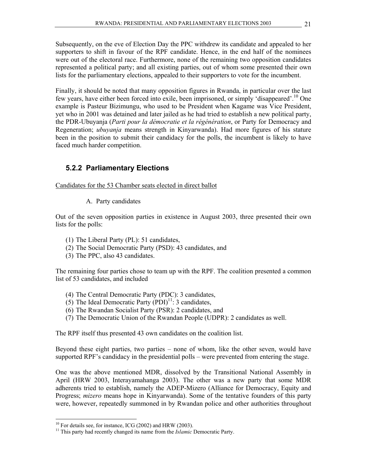Subsequently, on the eve of Election Day the PPC withdrew its candidate and appealed to her supporters to shift in favour of the RPF candidate. Hence, in the end half of the nominees were out of the electoral race. Furthermore, none of the remaining two opposition candidates represented a political party; and all existing parties, out of whom some presented their own lists for the parliamentary elections, appealed to their supporters to vote for the incumbent.

Finally, it should be noted that many opposition figures in Rwanda, in particular over the last few years, have either been forced into exile, been imprisoned, or simply 'disappeared'.10 One example is Pasteur Bizimungu, who used to be President when Kagame was Vice President, yet who in 2001 was detained and later jailed as he had tried to establish a new political party, the PDR-Ubuyanja (*Parti pour la démocratie et la régénération*, or Party for Democracy and Regeneration; *ubuyanja* means strength in Kinyarwanda). Had more figures of his stature been in the position to submit their candidacy for the polls, the incumbent is likely to have faced much harder competition.

## **5.2.2 Parliamentary Elections**

Candidates for the 53 Chamber seats elected in direct ballot

A. Party candidates

Out of the seven opposition parties in existence in August 2003, three presented their own lists for the polls:

- (1) The Liberal Party (PL): 51 candidates,
- (2) The Social Democratic Party (PSD): 43 candidates, and
- (3) The PPC, also 43 candidates.

The remaining four parties chose to team up with the RPF. The coalition presented a common list of 53 candidates, and included

- (4) The Central Democratic Party (PDC): 3 candidates,
- (5) The Ideal Democratic Party  $( PDI)^{11}$ : 3 candidates,
- (6) The Rwandan Socialist Party (PSR): 2 candidates, and
- (7) The Democratic Union of the Rwandan People (UDPR): 2 candidates as well.

The RPF itself thus presented 43 own candidates on the coalition list.

Beyond these eight parties, two parties – none of whom, like the other seven, would have supported RPF's candidacy in the presidential polls – were prevented from entering the stage.

One was the above mentioned MDR, dissolved by the Transitional National Assembly in April (HRW 2003, Interayamahanga 2003). The other was a new party that some MDR adherents tried to establish, namely the ADEP-Mizero (Alliance for Democracy, Equity and Progress; *mizero* means hope in Kinyarwanda). Some of the tentative founders of this party were, however, repeatedly summoned in by Rwandan police and other authorities throughout

 $10$  For details see, for instance, ICG (2002) and HRW (2003).

<sup>&</sup>lt;sup>11</sup> This party had recently changed its name from the *Islamic* Democratic Party.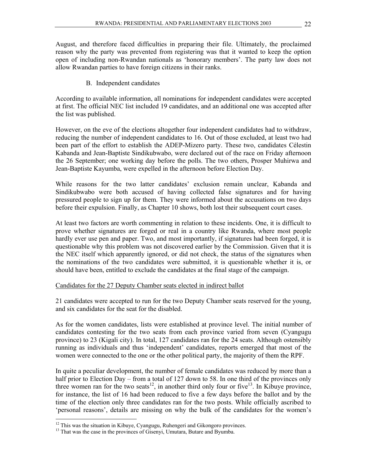August, and therefore faced difficulties in preparing their file. Ultimately, the proclaimed reason why the party was prevented from registering was that it wanted to keep the option open of including non-Rwandan nationals as 'honorary members'. The party law does not allow Rwandan parties to have foreign citizens in their ranks.

B. Independent candidates

According to available information, all nominations for independent candidates were accepted at first. The official NEC list included 19 candidates, and an additional one was accepted after the list was published.

However, on the eve of the elections altogether four independent candidates had to withdraw, reducing the number of independent candidates to 16. Out of those excluded, at least two had been part of the effort to establish the ADEP-Mizero party. These two, candidates Célestin Kabanda and Jean-Baptiste Sindikubwabo, were declared out of the race on Friday afternoon the 26 September; one working day before the polls. The two others, Prosper Muhirwa and Jean-Baptiste Kayumba, were expelled in the afternoon before Election Day.

While reasons for the two latter candidates' exclusion remain unclear, Kabanda and Sindikubwabo were both accused of having collected false signatures and for having pressured people to sign up for them. They were informed about the accusations on two days before their expulsion. Finally, as Chapter 10 shows, both lost their subsequent court cases.

At least two factors are worth commenting in relation to these incidents. One, it is difficult to prove whether signatures are forged or real in a country like Rwanda, where most people hardly ever use pen and paper. Two, and most importantly, if signatures had been forged, it is questionable why this problem was not discovered earlier by the Commission. Given that it is the NEC itself which apparently ignored, or did not check, the status of the signatures when the nominations of the two candidates were submitted, it is questionable whether it is, or should have been, entitled to exclude the candidates at the final stage of the campaign.

#### Candidates for the 27 Deputy Chamber seats elected in indirect ballot

21 candidates were accepted to run for the two Deputy Chamber seats reserved for the young, and six candidates for the seat for the disabled.

As for the women candidates, lists were established at province level. The initial number of candidates contesting for the two seats from each province varied from seven (Cyangugu province) to 23 (Kigali city). In total, 127 candidates ran for the 24 seats. Although ostensibly running as individuals and thus 'independent' candidates, reports emerged that most of the women were connected to the one or the other political party, the majority of them the RPF.

In quite a peculiar development, the number of female candidates was reduced by more than a half prior to Election Day – from a total of 127 down to 58. In one third of the provinces only three women ran for the two seats<sup>12</sup>, in another third only four or five<sup>13</sup>. In Kibuye province, for instance, the list of 16 had been reduced to five a few days before the ballot and by the time of the election only three candidates ran for the two posts. While officially ascribed to 'personal reasons', details are missing on why the bulk of the candidates for the women's

 $12$  This was the situation in Kibuye, Cyangugu, Ruhengeri and Gikongoro provinces.

<sup>&</sup>lt;sup>13</sup> That was the case in the provinces of Gisenyi, Umutara, Butare and Byumba.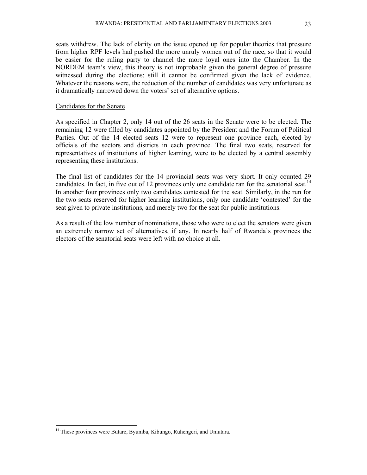seats withdrew. The lack of clarity on the issue opened up for popular theories that pressure from higher RPF levels had pushed the more unruly women out of the race, so that it would be easier for the ruling party to channel the more loyal ones into the Chamber. In the NORDEM team's view, this theory is not improbable given the general degree of pressure witnessed during the elections; still it cannot be confirmed given the lack of evidence. Whatever the reasons were, the reduction of the number of candidates was very unfortunate as it dramatically narrowed down the voters' set of alternative options.

#### Candidates for the Senate

As specified in Chapter 2, only 14 out of the 26 seats in the Senate were to be elected. The remaining 12 were filled by candidates appointed by the President and the Forum of Political Parties. Out of the 14 elected seats 12 were to represent one province each, elected by officials of the sectors and districts in each province. The final two seats, reserved for representatives of institutions of higher learning, were to be elected by a central assembly representing these institutions.

The final list of candidates for the 14 provincial seats was very short. It only counted 29 candidates. In fact, in five out of 12 provinces only one candidate ran for the senatorial seat.<sup>14</sup> In another four provinces only two candidates contested for the seat. Similarly, in the run for the two seats reserved for higher learning institutions, only one candidate 'contested' for the seat given to private institutions, and merely two for the seat for public institutions.

As a result of the low number of nominations, those who were to elect the senators were given an extremely narrow set of alternatives, if any. In nearly half of Rwanda's provinces the electors of the senatorial seats were left with no choice at all.

<sup>&</sup>lt;sup>14</sup> These provinces were Butare, Byumba, Kibungo, Ruhengeri, and Umutara.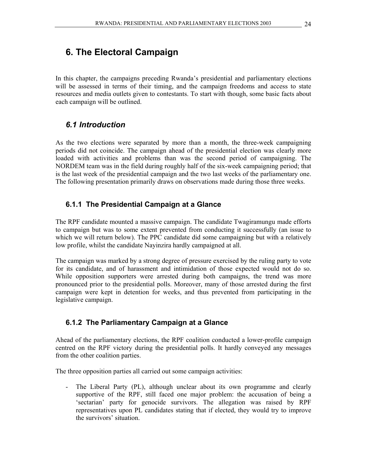In this chapter, the campaigns preceding Rwanda's presidential and parliamentary elections will be assessed in terms of their timing, and the campaign freedoms and access to state resources and media outlets given to contestants. To start with though, some basic facts about each campaign will be outlined.

# *6.1 Introduction*

As the two elections were separated by more than a month, the three-week campaigning periods did not coincide. The campaign ahead of the presidential election was clearly more loaded with activities and problems than was the second period of campaigning. The NORDEM team was in the field during roughly half of the six-week campaigning period; that is the last week of the presidential campaign and the two last weeks of the parliamentary one. The following presentation primarily draws on observations made during those three weeks.

### **6.1.1 The Presidential Campaign at a Glance**

The RPF candidate mounted a massive campaign. The candidate Twagiramungu made efforts to campaign but was to some extent prevented from conducting it successfully (an issue to which we will return below). The PPC candidate did some campaigning but with a relatively low profile, whilst the candidate Nayinzira hardly campaigned at all.

The campaign was marked by a strong degree of pressure exercised by the ruling party to vote for its candidate, and of harassment and intimidation of those expected would not do so. While opposition supporters were arrested during both campaigns, the trend was more pronounced prior to the presidential polls. Moreover, many of those arrested during the first campaign were kept in detention for weeks, and thus prevented from participating in the legislative campaign.

#### **6.1.2 The Parliamentary Campaign at a Glance**

Ahead of the parliamentary elections, the RPF coalition conducted a lower-profile campaign centred on the RPF victory during the presidential polls. It hardly conveyed any messages from the other coalition parties.

The three opposition parties all carried out some campaign activities:

- The Liberal Party (PL), although unclear about its own programme and clearly supportive of the RPF, still faced one major problem: the accusation of being a 'sectarian' party for genocide survivors. The allegation was raised by RPF representatives upon PL candidates stating that if elected, they would try to improve the survivors' situation.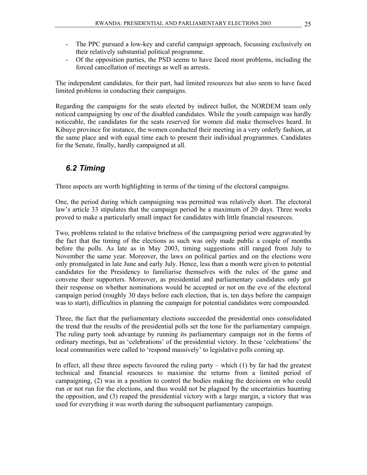- The PPC pursued a low-key and careful campaign approach, focussing exclusively on their relatively substantial political programme.
- Of the opposition parties, the PSD seems to have faced most problems, including the forced cancellation of meetings as well as arrests.

The independent candidates, for their part, had limited resources but also seem to have faced limited problems in conducting their campaigns.

Regarding the campaigns for the seats elected by indirect ballot, the NORDEM team only noticed campaigning by one of the disabled candidates. While the youth campaign was hardly noticeable, the candidates for the seats reserved for women did make themselves heard. In Kibuye province for instance, the women conducted their meeting in a very orderly fashion, at the same place and with equal time each to present their individual programmes. Candidates for the Senate, finally, hardly campaigned at all.

# *6.2 Timing*

Three aspects are worth highlighting in terms of the timing of the electoral campaigns.

One, the period during which campaigning was permitted was relatively short. The electoral law's article 33 stipulates that the campaign period be a maximum of 20 days. Three weeks proved to make a particularly small impact for candidates with little financial resources.

Two, problems related to the relative briefness of the campaigning period were aggravated by the fact that the timing of the elections as such was only made public a couple of months before the polls. As late as in May 2003, timing suggestions still ranged from July to November the same year. Moreover, the laws on political parties and on the elections were only promulgated in late June and early July. Hence, less than a month were given to potential candidates for the Presidency to familiarise themselves with the rules of the game and convene their supporters. Moreover, as presidential and parliamentary candidates only got their response on whether nominations would be accepted or not on the eve of the electoral campaign period (roughly 30 days before each election, that is, ten days before the campaign was to start), difficulties in planning the campaign for potential candidates were compounded.

Three, the fact that the parliamentary elections succeeded the presidential ones consolidated the trend that the results of the presidential polls set the tone for the parliamentary campaign. The ruling party took advantage by running its parliamentary campaign not in the forms of ordinary meetings, but as 'celebrations' of the presidential victory. In these 'celebrations' the local communities were called to 'respond massively' to legislative polls coming up.

In effect, all these three aspects favoured the ruling party – which  $(1)$  by far had the greatest technical and financial resources to maximise the returns from a limited period of campaigning, (2) was in a position to control the bodies making the decisions on who could run or not run for the elections, and thus would not be plagued by the uncertainties haunting the opposition, and (3) reaped the presidential victory with a large margin, a victory that was used for everything it was worth during the subsequent parliamentary campaign.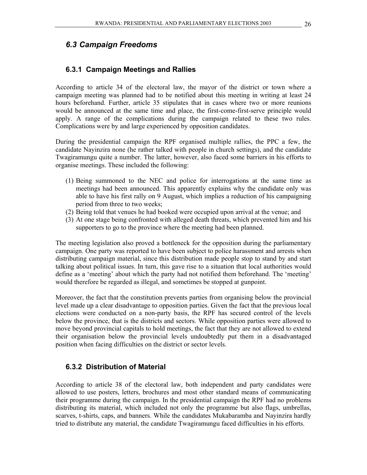#### **6.3.1 Campaign Meetings and Rallies**

According to article 34 of the electoral law, the mayor of the district or town where a campaign meeting was planned had to be notified about this meeting in writing at least 24 hours beforehand. Further, article 35 stipulates that in cases where two or more reunions would be announced at the same time and place, the first-come-first-serve principle would apply. A range of the complications during the campaign related to these two rules. Complications were by and large experienced by opposition candidates.

During the presidential campaign the RPF organised multiple rallies, the PPC a few, the candidate Nayinzira none (he rather talked with people in church settings), and the candidate Twagiramungu quite a number. The latter, however, also faced some barriers in his efforts to organise meetings. These included the following:

- (1) Being summoned to the NEC and police for interrogations at the same time as meetings had been announced. This apparently explains why the candidate only was able to have his first rally on 9 August, which implies a reduction of his campaigning period from three to two weeks;
- (2) Being told that venues he had booked were occupied upon arrival at the venue; and
- (3) At one stage being confronted with alleged death threats, which prevented him and his supporters to go to the province where the meeting had been planned.

The meeting legislation also proved a bottleneck for the opposition during the parliamentary campaign. One party was reported to have been subject to police harassment and arrests when distributing campaign material, since this distribution made people stop to stand by and start talking about political issues. In turn, this gave rise to a situation that local authorities would define as a 'meeting' about which the party had not notified them beforehand. The 'meeting' would therefore be regarded as illegal, and sometimes be stopped at gunpoint.

Moreover, the fact that the constitution prevents parties from organising below the provincial level made up a clear disadvantage to opposition parties. Given the fact that the previous local elections were conducted on a non-party basis, the RPF has secured control of the levels below the province, that is the districts and sectors. While opposition parties were allowed to move beyond provincial capitals to hold meetings, the fact that they are not allowed to extend their organisation below the provincial levels undoubtedly put them in a disadvantaged position when facing difficulties on the district or sector levels.

#### **6.3.2 Distribution of Material**

According to article 38 of the electoral law, both independent and party candidates were allowed to use posters, letters, brochures and most other standard means of communicating their programme during the campaign. In the presidential campaign the RPF had no problems distributing its material, which included not only the programme but also flags, umbrellas, scarves, t-shirts, caps, and banners. While the candidates Mukabaramba and Nayinzira hardly tried to distribute any material, the candidate Twagiramungu faced difficulties in his efforts.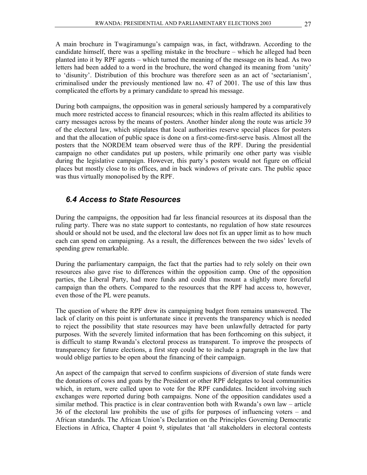A main brochure in Twagiramungu's campaign was, in fact, withdrawn. According to the candidate himself, there was a spelling mistake in the brochure – which he alleged had been planted into it by RPF agents – which turned the meaning of the message on its head. As two letters had been added to a word in the brochure, the word changed its meaning from 'unity' to 'disunity'. Distribution of this brochure was therefore seen as an act of 'sectarianism', criminalised under the previously mentioned law no. 47 of 2001. The use of this law thus complicated the efforts by a primary candidate to spread his message.

During both campaigns, the opposition was in general seriously hampered by a comparatively much more restricted access to financial resources; which in this realm affected its abilities to carry messages across by the means of posters. Another hinder along the route was article 39 of the electoral law, which stipulates that local authorities reserve special places for posters and that the allocation of public space is done on a first-come-first-serve basis. Almost all the posters that the NORDEM team observed were thus of the RPF. During the presidential campaign no other candidates put up posters, while primarily one other party was visible during the legislative campaign. However, this party's posters would not figure on official places but mostly close to its offices, and in back windows of private cars. The public space was thus virtually monopolised by the RPF.

#### *6.4 Access to State Resources*

During the campaigns, the opposition had far less financial resources at its disposal than the ruling party. There was no state support to contestants, no regulation of how state resources should or should not be used, and the electoral law does not fix an upper limit as to how much each can spend on campaigning. As a result, the differences between the two sides' levels of spending grew remarkable.

During the parliamentary campaign, the fact that the parties had to rely solely on their own resources also gave rise to differences within the opposition camp. One of the opposition parties, the Liberal Party, had more funds and could thus mount a slightly more forceful campaign than the others. Compared to the resources that the RPF had access to, however, even those of the PL were peanuts.

The question of where the RPF drew its campaigning budget from remains unanswered. The lack of clarity on this point is unfortunate since it prevents the transparency which is needed to reject the possibility that state resources may have been unlawfully detracted for party purposes. With the severely limited information that has been forthcoming on this subject, it is difficult to stamp Rwanda's electoral process as transparent. To improve the prospects of transparency for future elections, a first step could be to include a paragraph in the law that would oblige parties to be open about the financing of their campaign.

An aspect of the campaign that served to confirm suspicions of diversion of state funds were the donations of cows and goats by the President or other RPF delegates to local communities which, in return, were called upon to vote for the RPF candidates. Incident involving such exchanges were reported during both campaigns. None of the opposition candidates used a similar method. This practice is in clear contravention both with Rwanda's own law – article 36 of the electoral law prohibits the use of gifts for purposes of influencing voters – and African standards. The African Union's Declaration on the Principles Governing Democratic Elections in Africa, Chapter 4 point 9, stipulates that 'all stakeholders in electoral contests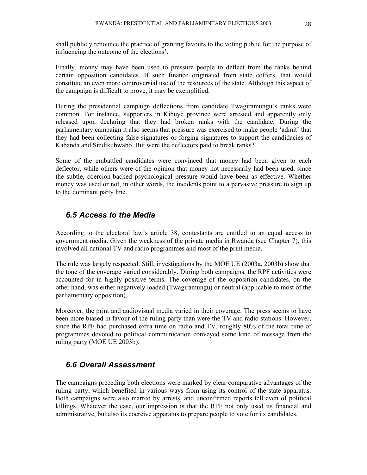shall publicly renounce the practice of granting favours to the voting public for the purpose of influencing the outcome of the elections'.

Finally, money may have been used to pressure people to deflect from the ranks behind certain opposition candidates. If such finance originated from state coffers, that would constitute an even more controversial use of the resources of the state. Although this aspect of the campaign is difficult to prove, it may be exemplified.

During the presidential campaign deflections from candidate Twagiramungu's ranks were common. For instance, supporters in Kibuye province were arrested and apparently only released upon declaring that they had broken ranks with the candidate. During the parliamentary campaign it also seems that pressure was exercised to make people 'admit' that they had been collecting false signatures or forging signatures to support the candidacies of Kabanda and Sindikubwabo. But were the deflectors paid to break ranks?

Some of the embattled candidates were convinced that money had been given to each deflector, while others were of the opinion that money not necessarily had been used, since the subtle, coercion-backed psychological pressure would have been as effective. Whether money was used or not, in other words, the incidents point to a pervasive pressure to sign up to the dominant party line.

# *6.5 Access to the Media*

According to the electoral law's article 38, contestants are entitled to an equal access to government media. Given the weakness of the private media in Rwanda (see Chapter 7), this involved all national TV and radio programmes and most of the print media.

The rule was largely respected. Still, investigations by the MOE UE (2003a, 2003b) show that the tone of the coverage varied considerably. During both campaigns, the RPF activities were accounted for in highly positive terms. The coverage of the opposition candidates, on the other hand, was either negatively loaded (Twagiramungu) or neutral (applicable to most of the parliamentary opposition).

Moreover, the print and audiovisual media varied in their coverage. The press seems to have been more biased in favour of the ruling party than were the TV and radio stations. However, since the RPF had purchased extra time on radio and TV, roughly 80% of the total time of programmes devoted to political communication conveyed some kind of message from the ruling party (MOE UE 2003b).

# *6.6 Overall Assessment*

The campaigns preceding both elections were marked by clear comparative advantages of the ruling party, which benefited in various ways from using its control of the state apparatus. Both campaigns were also marred by arrests, and unconfirmed reports tell even of political killings. Whatever the case, our impression is that the RPF not only used its financial and administrative, but also its coercive apparatus to prepare people to vote for its candidates.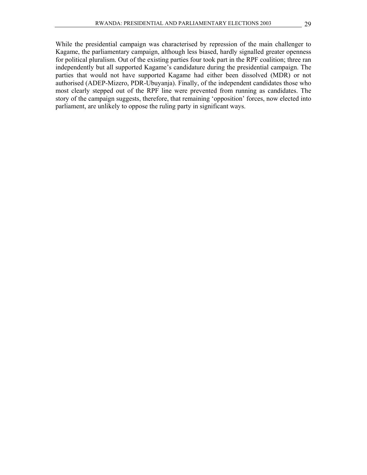While the presidential campaign was characterised by repression of the main challenger to Kagame, the parliamentary campaign, although less biased, hardly signalled greater openness for political pluralism. Out of the existing parties four took part in the RPF coalition; three ran independently but all supported Kagame's candidature during the presidential campaign. The parties that would not have supported Kagame had either been dissolved (MDR) or not authorised (ADEP-Mizero, PDR-Ubuyanja). Finally, of the independent candidates those who most clearly stepped out of the RPF line were prevented from running as candidates. The story of the campaign suggests, therefore, that remaining 'opposition' forces, now elected into parliament, are unlikely to oppose the ruling party in significant ways.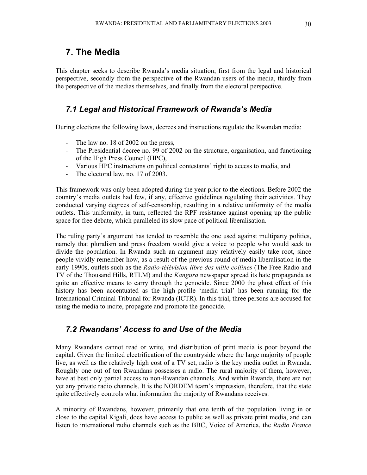# **7. The Media**

This chapter seeks to describe Rwanda's media situation; first from the legal and historical perspective, secondly from the perspective of the Rwandan users of the media, thirdly from the perspective of the medias themselves, and finally from the electoral perspective.

# *7.1 Legal and Historical Framework of Rwanda's Media*

During elections the following laws, decrees and instructions regulate the Rwandan media:

- The law no. 18 of 2002 on the press,
- The Presidential decree no. 99 of 2002 on the structure, organisation, and functioning of the High Press Council (HPC),
- Various HPC instructions on political contestants' right to access to media, and
- The electoral law, no. 17 of 2003.

This framework was only been adopted during the year prior to the elections. Before 2002 the country's media outlets had few, if any, effective guidelines regulating their activities. They conducted varying degrees of self-censorship, resulting in a relative uniformity of the media outlets. This uniformity, in turn, reflected the RPF resistance against opening up the public space for free debate, which paralleled its slow pace of political liberalisation.

The ruling party's argument has tended to resemble the one used against multiparty politics, namely that pluralism and press freedom would give a voice to people who would seek to divide the population. In Rwanda such an argument may relatively easily take root, since people vividly remember how, as a result of the previous round of media liberalisation in the early 1990s, outlets such as the *Radio-télévision libre des mille collines* (The Free Radio and TV of the Thousand Hills, RTLM) and the *Kangura* newspaper spread its hate propaganda as quite an effective means to carry through the genocide. Since 2000 the ghost effect of this history has been accentuated as the high-profile 'media trial' has been running for the International Criminal Tribunal for Rwanda (ICTR). In this trial, three persons are accused for using the media to incite, propagate and promote the genocide.

# *7.2 Rwandans' Access to and Use of the Media*

Many Rwandans cannot read or write, and distribution of print media is poor beyond the capital. Given the limited electrification of the countryside where the large majority of people live, as well as the relatively high cost of a TV set, radio is the key media outlet in Rwanda. Roughly one out of ten Rwandans possesses a radio. The rural majority of them, however, have at best only partial access to non-Rwandan channels. And within Rwanda, there are not yet any private radio channels. It is the NORDEM team's impression, therefore, that the state quite effectively controls what information the majority of Rwandans receives.

A minority of Rwandans, however, primarily that one tenth of the population living in or close to the capital Kigali, does have access to public as well as private print media, and can listen to international radio channels such as the BBC, Voice of America, the *Radio France*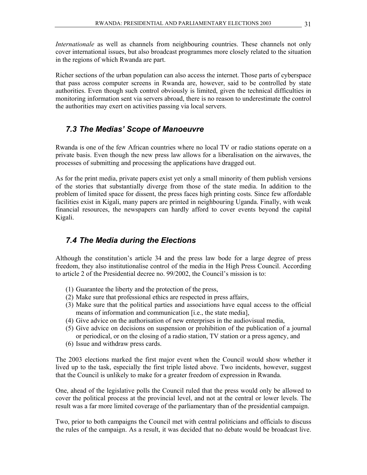*Internationale* as well as channels from neighbouring countries. These channels not only cover international issues, but also broadcast programmes more closely related to the situation in the regions of which Rwanda are part.

Richer sections of the urban population can also access the internet. Those parts of cyberspace that pass across computer screens in Rwanda are, however, said to be controlled by state authorities. Even though such control obviously is limited, given the technical difficulties in monitoring information sent via servers abroad, there is no reason to underestimate the control the authorities may exert on activities passing via local servers.

#### *7.3 The Medias' Scope of Manoeuvre*

Rwanda is one of the few African countries where no local TV or radio stations operate on a private basis. Even though the new press law allows for a liberalisation on the airwaves, the processes of submitting and processing the applications have dragged out.

As for the print media, private papers exist yet only a small minority of them publish versions of the stories that substantially diverge from those of the state media. In addition to the problem of limited space for dissent, the press faces high printing costs. Since few affordable facilities exist in Kigali, many papers are printed in neighbouring Uganda. Finally, with weak financial resources, the newspapers can hardly afford to cover events beyond the capital Kigali.

## *7.4 The Media during the Elections*

Although the constitution's article 34 and the press law bode for a large degree of press freedom, they also institutionalise control of the media in the High Press Council. According to article 2 of the Presidential decree no. 99/2002, the Council's mission is to:

- (1) Guarantee the liberty and the protection of the press,
- (2) Make sure that professional ethics are respected in press affairs,
- (3) Make sure that the political parties and associations have equal access to the official means of information and communication [i.e., the state media],
- (4) Give advice on the authorisation of new enterprises in the audiovisual media,
- (5) Give advice on decisions on suspension or prohibition of the publication of a journal or periodical, or on the closing of a radio station, TV station or a press agency, and
- (6) Issue and withdraw press cards.

The 2003 elections marked the first major event when the Council would show whether it lived up to the task, especially the first triple listed above. Two incidents, however, suggest that the Council is unlikely to make for a greater freedom of expression in Rwanda.

One, ahead of the legislative polls the Council ruled that the press would only be allowed to cover the political process at the provincial level, and not at the central or lower levels. The result was a far more limited coverage of the parliamentary than of the presidential campaign.

Two, prior to both campaigns the Council met with central politicians and officials to discuss the rules of the campaign. As a result, it was decided that no debate would be broadcast live.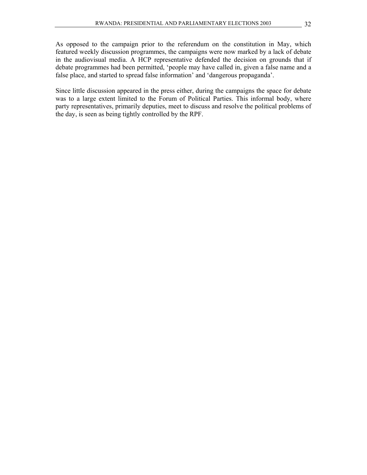As opposed to the campaign prior to the referendum on the constitution in May, which featured weekly discussion programmes, the campaigns were now marked by a lack of debate in the audiovisual media. A HCP representative defended the decision on grounds that if debate programmes had been permitted, 'people may have called in, given a false name and a false place, and started to spread false information' and 'dangerous propaganda'.

Since little discussion appeared in the press either, during the campaigns the space for debate was to a large extent limited to the Forum of Political Parties. This informal body, where party representatives, primarily deputies, meet to discuss and resolve the political problems of the day, is seen as being tightly controlled by the RPF.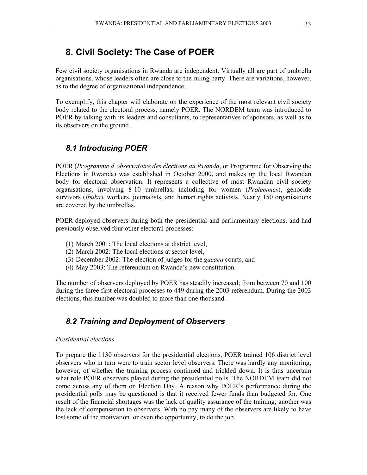# **8. Civil Society: The Case of POER**

Few civil society organisations in Rwanda are independent. Virtually all are part of umbrella organisations, whose leaders often are close to the ruling party. There are variations, however, as to the degree of organisational independence.

To exemplify, this chapter will elaborate on the experience of the most relevant civil society body related to the electoral process, namely POER. The NORDEM team was introduced to POER by talking with its leaders and consultants, to representatives of sponsors, as well as to its observers on the ground.

# *8.1 Introducing POER*

POER (*Programme d'observatoire des élections au Rwanda*, or Programme for Observing the Elections in Rwanda) was established in October 2000, and makes up the local Rwandan body for electoral observation. It represents a collective of most Rwandan civil society organisations, involving 8-10 umbrellas; including for women (*Profemmes*), genocide survivors (*Ibuka*), workers, journalists, and human rights activists. Nearly 150 organisations are covered by the umbrellas.

POER deployed observers during both the presidential and parliamentary elections, and had previously observed four other electoral processes:

- (1) March 2001: The local elections at district level,
- (2) March 2002: The local elections at sector level,
- (3) December 2002: The election of judges for the *gacaca* courts, and
- (4) May 2003: The referendum on Rwanda's new constitution.

The number of observers deployed by POER has steadily increased; from between 70 and 100 during the three first electoral processes to 449 during the 2003 referendum. During the 2003 elections, this number was doubled to more than one thousand.

# *8.2 Training and Deployment of Observers*

#### *Presidential elections*

To prepare the 1130 observers for the presidential elections, POER trained 106 district level observers who in turn were to train sector level observers. There was hardly any monitoring, however, of whether the training process continued and trickled down. It is thus uncertain what role POER observers played during the presidential polls. The NORDEM team did not come across any of them on Election Day. A reason why POER's performance during the presidential polls may be questioned is that it received fewer funds than budgeted for. One result of the financial shortages was the lack of quality assurance of the training; another was the lack of compensation to observers. With no pay many of the observers are likely to have lost some of the motivation, or even the opportunity, to do the job.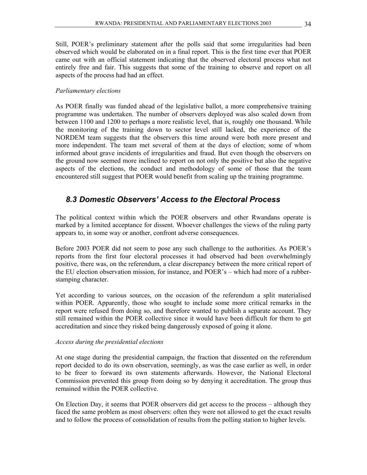Still, POER's preliminary statement after the polls said that some irregularities had been observed which would be elaborated on in a final report. This is the first time ever that POER came out with an official statement indicating that the observed electoral process what not entirely free and fair. This suggests that some of the training to observe and report on all aspects of the process had had an effect.

#### *Parliamentary elections*

As POER finally was funded ahead of the legislative ballot, a more comprehensive training programme was undertaken. The number of observers deployed was also scaled down from between 1100 and 1200 to perhaps a more realistic level, that is, roughly one thousand. While the monitoring of the training down to sector level still lacked, the experience of the NORDEM team suggests that the observers this time around were both more present and more independent. The team met several of them at the days of election; some of whom informed about grave incidents of irregularities and fraud. But even though the observers on the ground now seemed more inclined to report on not only the positive but also the negative aspects of the elections, the conduct and methodology of some of those that the team encountered still suggest that POER would benefit from scaling up the training programme.

## *8.3 Domestic Observers' Access to the Electoral Process*

The political context within which the POER observers and other Rwandans operate is marked by a limited acceptance for dissent. Whoever challenges the views of the ruling party appears to, in some way or another, confront adverse consequences.

Before 2003 POER did not seem to pose any such challenge to the authorities. As POER's reports from the first four electoral processes it had observed had been overwhelmingly positive, there was, on the referendum, a clear discrepancy between the more critical report of the EU election observation mission, for instance, and POER's – which had more of a rubberstamping character.

Yet according to various sources, on the occasion of the referendum a split materialised within POER. Apparently, those who sought to include some more critical remarks in the report were refused from doing so, and therefore wanted to publish a separate account. They still remained within the POER collective since it would have been difficult for them to get accreditation and since they risked being dangerously exposed of going it alone.

#### *Access during the presidential elections*

At one stage during the presidential campaign, the fraction that dissented on the referendum report decided to do its own observation, seemingly, as was the case earlier as well, in order to be freer to forward its own statements afterwards. However, the National Electoral Commission prevented this group from doing so by denying it accreditation. The group thus remained within the POER collective.

On Election Day, it seems that POER observers did get access to the process – although they faced the same problem as most observers: often they were not allowed to get the exact results and to follow the process of consolidation of results from the polling station to higher levels.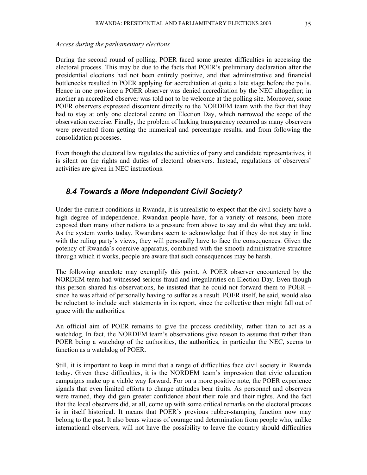#### *Access during the parliamentary elections*

During the second round of polling, POER faced some greater difficulties in accessing the electoral process. This may be due to the facts that POER's preliminary declaration after the presidential elections had not been entirely positive, and that administrative and financial bottlenecks resulted in POER applying for accreditation at quite a late stage before the polls. Hence in one province a POER observer was denied accreditation by the NEC altogether; in another an accredited observer was told not to be welcome at the polling site. Moreover, some POER observers expressed discontent directly to the NORDEM team with the fact that they had to stay at only one electoral centre on Election Day, which narrowed the scope of the observation exercise. Finally, the problem of lacking transparency recurred as many observers were prevented from getting the numerical and percentage results, and from following the consolidation processes.

Even though the electoral law regulates the activities of party and candidate representatives, it is silent on the rights and duties of electoral observers. Instead, regulations of observers' activities are given in NEC instructions.

#### *8.4 Towards a More Independent Civil Society?*

Under the current conditions in Rwanda, it is unrealistic to expect that the civil society have a high degree of independence. Rwandan people have, for a variety of reasons, been more exposed than many other nations to a pressure from above to say and do what they are told. As the system works today, Rwandans seem to acknowledge that if they do not stay in line with the ruling party's views, they will personally have to face the consequences. Given the potency of Rwanda's coercive apparatus, combined with the smooth administrative structure through which it works, people are aware that such consequences may be harsh.

The following anecdote may exemplify this point. A POER observer encountered by the NORDEM team had witnessed serious fraud and irregularities on Election Day. Even though this person shared his observations, he insisted that he could not forward them to POER – since he was afraid of personally having to suffer as a result. POER itself, he said, would also be reluctant to include such statements in its report, since the collective then might fall out of grace with the authorities.

An official aim of POER remains to give the process credibility, rather than to act as a watchdog. In fact, the NORDEM team's observations give reason to assume that rather than POER being a watchdog of the authorities, the authorities, in particular the NEC, seems to function as a watchdog of POER.

Still, it is important to keep in mind that a range of difficulties face civil society in Rwanda today. Given these difficulties, it is the NORDEM team's impression that civic education campaigns make up a viable way forward. For on a more positive note, the POER experience signals that even limited efforts to change attitudes bear fruits. As personnel and observers were trained, they did gain greater confidence about their role and their rights. And the fact that the local observers did, at all, come up with some critical remarks on the electoral process is in itself historical. It means that POER's previous rubber-stamping function now may belong to the past. It also bears witness of courage and determination from people who, unlike international observers, will not have the possibility to leave the country should difficulties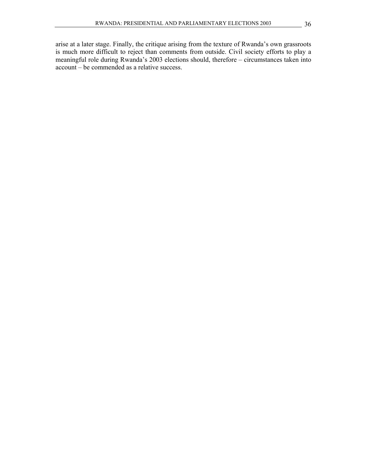arise at a later stage. Finally, the critique arising from the texture of Rwanda's own grassroots is much more difficult to reject than comments from outside. Civil society efforts to play a meaningful role during Rwanda's 2003 elections should, therefore – circumstances taken into account – be commended as a relative success.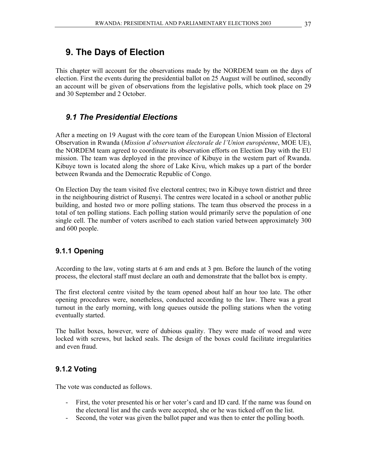# **9. The Days of Election**

This chapter will account for the observations made by the NORDEM team on the days of election. First the events during the presidential ballot on 25 August will be outlined, secondly an account will be given of observations from the legislative polls, which took place on 29 and 30 September and 2 October.

### *9.1 The Presidential Elections*

After a meeting on 19 August with the core team of the European Union Mission of Electoral Observation in Rwanda (*Mission d'observation électorale de l'Union européenne*, MOE UE), the NORDEM team agreed to coordinate its observation efforts on Election Day with the EU mission. The team was deployed in the province of Kibuye in the western part of Rwanda. Kibuye town is located along the shore of Lake Kivu, which makes up a part of the border between Rwanda and the Democratic Republic of Congo.

On Election Day the team visited five electoral centres; two in Kibuye town district and three in the neighbouring district of Rusenyi. The centres were located in a school or another public building, and hosted two or more polling stations. The team thus observed the process in a total of ten polling stations. Each polling station would primarily serve the population of one single cell. The number of voters ascribed to each station varied between approximately 300 and 600 people.

#### **9.1.1 Opening**

According to the law, voting starts at 6 am and ends at 3 pm. Before the launch of the voting process, the electoral staff must declare an oath and demonstrate that the ballot box is empty.

The first electoral centre visited by the team opened about half an hour too late. The other opening procedures were, nonetheless, conducted according to the law. There was a great turnout in the early morning, with long queues outside the polling stations when the voting eventually started.

The ballot boxes, however, were of dubious quality. They were made of wood and were locked with screws, but lacked seals. The design of the boxes could facilitate irregularities and even fraud.

#### **9.1.2 Voting**

The vote was conducted as follows.

- First, the voter presented his or her voter's card and ID card. If the name was found on the electoral list and the cards were accepted, she or he was ticked off on the list.
- Second, the voter was given the ballot paper and was then to enter the polling booth.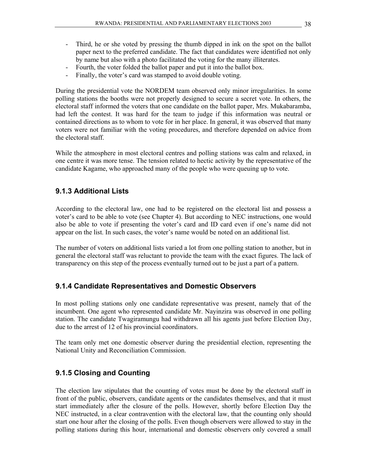- Third, he or she voted by pressing the thumb dipped in ink on the spot on the ballot paper next to the preferred candidate. The fact that candidates were identified not only by name but also with a photo facilitated the voting for the many illiterates.
- Fourth, the voter folded the ballot paper and put it into the ballot box.
- Finally, the voter's card was stamped to avoid double voting.

During the presidential vote the NORDEM team observed only minor irregularities. In some polling stations the booths were not properly designed to secure a secret vote. In others, the electoral staff informed the voters that one candidate on the ballot paper, Mrs. Mukabaramba, had left the contest. It was hard for the team to judge if this information was neutral or contained directions as to whom to vote for in her place. In general, it was observed that many voters were not familiar with the voting procedures, and therefore depended on advice from the electoral staff.

While the atmosphere in most electoral centres and polling stations was calm and relaxed, in one centre it was more tense. The tension related to hectic activity by the representative of the candidate Kagame, who approached many of the people who were queuing up to vote.

#### **9.1.3 Additional Lists**

According to the electoral law, one had to be registered on the electoral list and possess a voter's card to be able to vote (see Chapter 4). But according to NEC instructions, one would also be able to vote if presenting the voter's card and ID card even if one's name did not appear on the list. In such cases, the voter's name would be noted on an additional list.

The number of voters on additional lists varied a lot from one polling station to another, but in general the electoral staff was reluctant to provide the team with the exact figures. The lack of transparency on this step of the process eventually turned out to be just a part of a pattern.

#### **9.1.4 Candidate Representatives and Domestic Observers**

In most polling stations only one candidate representative was present, namely that of the incumbent. One agent who represented candidate Mr. Nayinzira was observed in one polling station. The candidate Twagiramungu had withdrawn all his agents just before Election Day, due to the arrest of 12 of his provincial coordinators.

The team only met one domestic observer during the presidential election, representing the National Unity and Reconciliation Commission.

### **9.1.5 Closing and Counting**

The election law stipulates that the counting of votes must be done by the electoral staff in front of the public, observers, candidate agents or the candidates themselves, and that it must start immediately after the closure of the polls. However, shortly before Election Day the NEC instructed, in a clear contravention with the electoral law, that the counting only should start one hour after the closing of the polls. Even though observers were allowed to stay in the polling stations during this hour, international and domestic observers only covered a small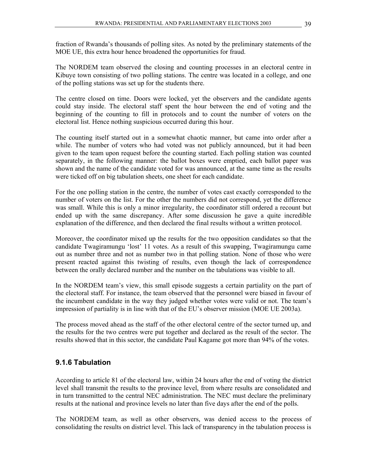fraction of Rwanda's thousands of polling sites. As noted by the preliminary statements of the MOE UE, this extra hour hence broadened the opportunities for fraud.

The NORDEM team observed the closing and counting processes in an electoral centre in Kibuye town consisting of two polling stations. The centre was located in a college, and one of the polling stations was set up for the students there.

The centre closed on time. Doors were locked, yet the observers and the candidate agents could stay inside. The electoral staff spent the hour between the end of voting and the beginning of the counting to fill in protocols and to count the number of voters on the electoral list. Hence nothing suspicious occurred during this hour.

The counting itself started out in a somewhat chaotic manner, but came into order after a while. The number of voters who had voted was not publicly announced, but it had been given to the team upon request before the counting started. Each polling station was counted separately, in the following manner: the ballot boxes were emptied, each ballot paper was shown and the name of the candidate voted for was announced, at the same time as the results were ticked off on big tabulation sheets, one sheet for each candidate.

For the one polling station in the centre, the number of votes cast exactly corresponded to the number of voters on the list. For the other the numbers did not correspond, yet the difference was small. While this is only a minor irregularity, the coordinator still ordered a recount but ended up with the same discrepancy. After some discussion he gave a quite incredible explanation of the difference, and then declared the final results without a written protocol.

Moreover, the coordinator mixed up the results for the two opposition candidates so that the candidate Twagiramungu 'lost' 11 votes. As a result of this swapping, Twagiramungu came out as number three and not as number two in that polling station. None of those who were present reacted against this twisting of results, even though the lack of correspondence between the orally declared number and the number on the tabulations was visible to all.

In the NORDEM team's view, this small episode suggests a certain partiality on the part of the electoral staff. For instance, the team observed that the personnel were biased in favour of the incumbent candidate in the way they judged whether votes were valid or not. The team's impression of partiality is in line with that of the EU's observer mission (MOE UE 2003a).

The process moved ahead as the staff of the other electoral centre of the sector turned up, and the results for the two centres were put together and declared as the result of the sector. The results showed that in this sector, the candidate Paul Kagame got more than 94% of the votes.

#### **9.1.6 Tabulation**

According to article 81 of the electoral law, within 24 hours after the end of voting the district level shall transmit the results to the province level, from where results are consolidated and in turn transmitted to the central NEC administration. The NEC must declare the preliminary results at the national and province levels no later than five days after the end of the polls.

The NORDEM team, as well as other observers, was denied access to the process of consolidating the results on district level. This lack of transparency in the tabulation process is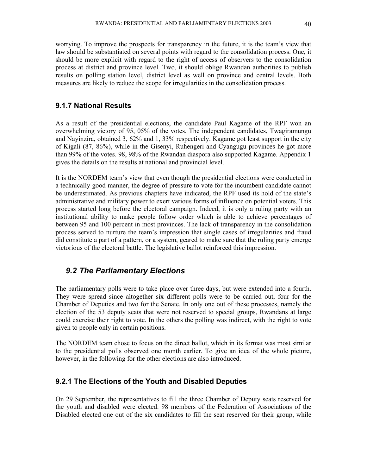worrying. To improve the prospects for transparency in the future, it is the team's view that law should be substantiated on several points with regard to the consolidation process. One, it should be more explicit with regard to the right of access of observers to the consolidation process at district and province level. Two, it should oblige Rwandan authorities to publish results on polling station level, district level as well on province and central levels. Both measures are likely to reduce the scope for irregularities in the consolidation process.

#### **9.1.7 National Results**

As a result of the presidential elections, the candidate Paul Kagame of the RPF won an overwhelming victory of 95, 05% of the votes. The independent candidates, Twagiramungu and Nayinzira, obtained 3, 62% and 1, 33% respectively. Kagame got least support in the city of Kigali (87, 86%), while in the Gisenyi, Ruhengeri and Cyangugu provinces he got more than 99% of the votes. 98, 98% of the Rwandan diaspora also supported Kagame. Appendix 1 gives the details on the results at national and provincial level.

It is the NORDEM team's view that even though the presidential elections were conducted in a technically good manner, the degree of pressure to vote for the incumbent candidate cannot be underestimated. As previous chapters have indicated, the RPF used its hold of the state's administrative and military power to exert various forms of influence on potential voters. This process started long before the electoral campaign. Indeed, it is only a ruling party with an institutional ability to make people follow order which is able to achieve percentages of between 95 and 100 percent in most provinces. The lack of transparency in the consolidation process served to nurture the team's impression that single cases of irregularities and fraud did constitute a part of a pattern, or a system, geared to make sure that the ruling party emerge victorious of the electoral battle. The legislative ballot reinforced this impression.

### *9.2 The Parliamentary Elections*

The parliamentary polls were to take place over three days, but were extended into a fourth. They were spread since altogether six different polls were to be carried out, four for the Chamber of Deputies and two for the Senate. In only one out of these processes, namely the election of the 53 deputy seats that were not reserved to special groups, Rwandans at large could exercise their right to vote. In the others the polling was indirect, with the right to vote given to people only in certain positions.

The NORDEM team chose to focus on the direct ballot, which in its format was most similar to the presidential polls observed one month earlier. To give an idea of the whole picture, however, in the following for the other elections are also introduced.

#### **9.2.1 The Elections of the Youth and Disabled Deputies**

On 29 September, the representatives to fill the three Chamber of Deputy seats reserved for the youth and disabled were elected. 98 members of the Federation of Associations of the Disabled elected one out of the six candidates to fill the seat reserved for their group, while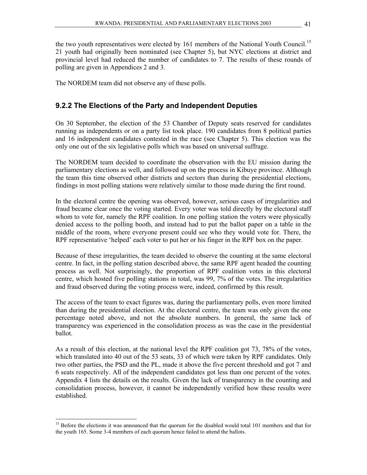the two youth representatives were elected by 161 members of the National Youth Council.<sup>15</sup> 21 youth had originally been nominated (see Chapter 5), but NYC elections at district and provincial level had reduced the number of candidates to 7. The results of these rounds of polling are given in Appendices 2 and 3.

The NORDEM team did not observe any of these polls.

## **9.2.2 The Elections of the Party and Independent Deputies**

On 30 September, the election of the 53 Chamber of Deputy seats reserved for candidates running as independents or on a party list took place. 190 candidates from 8 political parties and 16 independent candidates contested in the race (see Chapter 5). This election was the only one out of the six legislative polls which was based on universal suffrage.

The NORDEM team decided to coordinate the observation with the EU mission during the parliamentary elections as well, and followed up on the process in Kibuye province. Although the team this time observed other districts and sectors than during the presidential elections, findings in most polling stations were relatively similar to those made during the first round.

In the electoral centre the opening was observed, however, serious cases of irregularities and fraud became clear once the voting started. Every voter was told directly by the electoral staff whom to vote for, namely the RPF coalition. In one polling station the voters were physically denied access to the polling booth, and instead had to put the ballot paper on a table in the middle of the room, where everyone present could see who they would vote for. There, the RPF representative 'helped' each voter to put her or his finger in the RPF box on the paper.

Because of these irregularities, the team decided to observe the counting at the same electoral centre. In fact, in the polling station described above, the same RPF agent headed the counting process as well. Not surprisingly, the proportion of RPF coalition votes in this electoral centre, which hosted five polling stations in total, was 99, 7% of the votes. The irregularities and fraud observed during the voting process were, indeed, confirmed by this result.

The access of the team to exact figures was, during the parliamentary polls, even more limited than during the presidential election. At the electoral centre, the team was only given the one percentage noted above, and not the absolute numbers. In general, the same lack of transparency was experienced in the consolidation process as was the case in the presidential ballot.

As a result of this election, at the national level the RPF coalition got 73, 78% of the votes, which translated into 40 out of the 53 seats, 33 of which were taken by RPF candidates. Only two other parties, the PSD and the PL, made it above the five percent threshold and got 7 and 6 seats respectively. All of the independent candidates got less than one percent of the votes. Appendix 4 lists the details on the results. Given the lack of transparency in the counting and consolidation process, however, it cannot be independently verified how these results were established.

<sup>&</sup>lt;sup>15</sup> Before the elections it was announced that the quorum for the disabled would total 101 members and that for the youth 165. Some 3-4 members of each quorum hence failed to attend the ballots.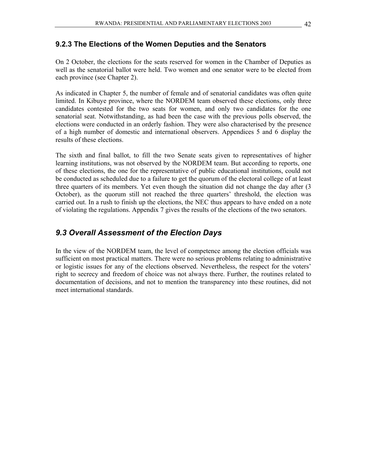#### **9.2.3 The Elections of the Women Deputies and the Senators**

On 2 October, the elections for the seats reserved for women in the Chamber of Deputies as well as the senatorial ballot were held. Two women and one senator were to be elected from each province (see Chapter 2).

As indicated in Chapter 5, the number of female and of senatorial candidates was often quite limited. In Kibuye province, where the NORDEM team observed these elections, only three candidates contested for the two seats for women, and only two candidates for the one senatorial seat. Notwithstanding, as had been the case with the previous polls observed, the elections were conducted in an orderly fashion. They were also characterised by the presence of a high number of domestic and international observers. Appendices 5 and 6 display the results of these elections.

The sixth and final ballot, to fill the two Senate seats given to representatives of higher learning institutions, was not observed by the NORDEM team. But according to reports, one of these elections, the one for the representative of public educational institutions, could not be conducted as scheduled due to a failure to get the quorum of the electoral college of at least three quarters of its members. Yet even though the situation did not change the day after (3 October), as the quorum still not reached the three quarters' threshold, the election was carried out. In a rush to finish up the elections, the NEC thus appears to have ended on a note of violating the regulations. Appendix 7 gives the results of the elections of the two senators.

#### *9.3 Overall Assessment of the Election Days*

In the view of the NORDEM team, the level of competence among the election officials was sufficient on most practical matters. There were no serious problems relating to administrative or logistic issues for any of the elections observed. Nevertheless, the respect for the voters' right to secrecy and freedom of choice was not always there. Further, the routines related to documentation of decisions, and not to mention the transparency into these routines, did not meet international standards.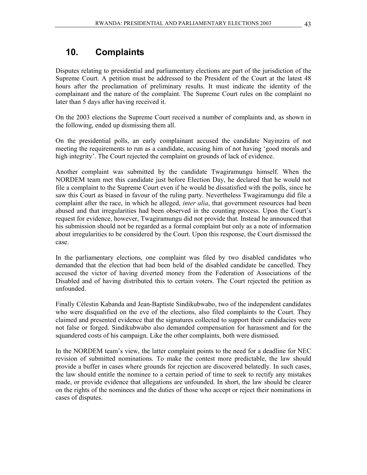# **10. Complaints**

Disputes relating to presidential and parliamentary elections are part of the jurisdiction of the Supreme Court. A petition must be addressed to the President of the Court at the latest 48 hours after the proclamation of preliminary results. It must indicate the identity of the complainant and the nature of the complaint. The Supreme Court rules on the complaint no later than 5 days after having received it.

On the 2003 elections the Supreme Court received a number of complaints and, as shown in the following, ended up dismissing them all.

On the presidential polls, an early complainant accused the candidate Nayinzira of not meeting the requirements to run as a candidate, accusing him of not having 'good morals and high integrity'. The Court rejected the complaint on grounds of lack of evidence.

Another complaint was submitted by the candidate Twagiramungu himself. When the NORDEM team met this candidate just before Election Day, he declared that he would not file a complaint to the Supreme Court even if he would be dissatisfied with the polls, since he saw this Court as biased in favour of the ruling party. Nevertheless Twagiramungu did file a complaint after the race, in which he alleged, *inter alia*, that government resources had been abused and that irregularities had been observed in the counting process. Upon the Court's request for evidence, however, Twagiramungu did not provide that. Instead he announced that his submission should not be regarded as a formal complaint but only as a note of information about irregularities to be considered by the Court. Upon this response, the Court dismissed the case.

In the parliamentary elections, one complaint was filed by two disabled candidates who demanded that the election that had been held of the disabled candidate be cancelled. They accused the victor of having diverted money from the Federation of Associations of the Disabled and of having distributed this to certain voters. The Court rejected the petition as unfounded.

Finally Célestin Kabanda and Jean-Baptiste Sindikubwabo, two of the independent candidates who were disqualified on the eve of the elections, also filed complaints to the Court. They claimed and presented evidence that the signatures collected to support their candidacies were not false or forged. Sindikubwabo also demanded compensation for harassment and for the squandered costs of his campaign. Like the other complaints, both were dismissed.

In the NORDEM team's view, the latter complaint points to the need for a deadline for NEC revision of submitted nominations. To make the contest more predictable, the law should provide a buffer in cases where grounds for rejection are discovered belatedly. In such cases, the law should entitle the nominee to a certain period of time to seek to rectify any mistakes made, or provide evidence that allegations are unfounded. In short, the law should be clearer on the rights of the nominees and the duties of those who accept or reject their nominations in cases of disputes.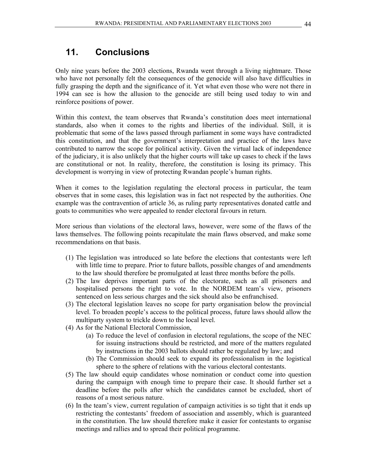# **11. Conclusions**

Only nine years before the 2003 elections, Rwanda went through a living nightmare. Those who have not personally felt the consequences of the genocide will also have difficulties in fully grasping the depth and the significance of it. Yet what even those who were not there in 1994 can see is how the allusion to the genocide are still being used today to win and reinforce positions of power.

Within this context, the team observes that Rwanda's constitution does meet international standards, also when it comes to the rights and liberties of the individual. Still, it is problematic that some of the laws passed through parliament in some ways have contradicted this constitution, and that the government's interpretation and practice of the laws have contributed to narrow the scope for political activity. Given the virtual lack of independence of the judiciary, it is also unlikely that the higher courts will take up cases to check if the laws are constitutional or not. In reality, therefore, the constitution is losing its primacy. This development is worrying in view of protecting Rwandan people's human rights.

When it comes to the legislation regulating the electoral process in particular, the team observes that in some cases, this legislation was in fact not respected by the authorities. One example was the contravention of article 36, as ruling party representatives donated cattle and goats to communities who were appealed to render electoral favours in return.

More serious than violations of the electoral laws, however, were some of the flaws of the laws themselves. The following points recapitulate the main flaws observed, and make some recommendations on that basis.

- (1) The legislation was introduced so late before the elections that contestants were left with little time to prepare. Prior to future ballots, possible changes of and amendments to the law should therefore be promulgated at least three months before the polls.
- (2) The law deprives important parts of the electorate, such as all prisoners and hospitalised persons the right to vote. In the NORDEM team's view, prisoners sentenced on less serious charges and the sick should also be enfranchised.
- (3) The electoral legislation leaves no scope for party organisation below the provincial level. To broaden people's access to the political process, future laws should allow the multiparty system to trickle down to the local level.
- (4) As for the National Electoral Commission,
	- (a) To reduce the level of confusion in electoral regulations, the scope of the NEC for issuing instructions should be restricted, and more of the matters regulated by instructions in the 2003 ballots should rather be regulated by law; and
	- (b) The Commission should seek to expand its professionalism in the logistical sphere to the sphere of relations with the various electoral contestants.
- (5) The law should equip candidates whose nomination or conduct come into question during the campaign with enough time to prepare their case. It should further set a deadline before the polls after which the candidates cannot be excluded, short of reasons of a most serious nature.
- (6) In the team's view, current regulation of campaign activities is so tight that it ends up restricting the contestants' freedom of association and assembly, which is guaranteed in the constitution. The law should therefore make it easier for contestants to organise meetings and rallies and to spread their political programme.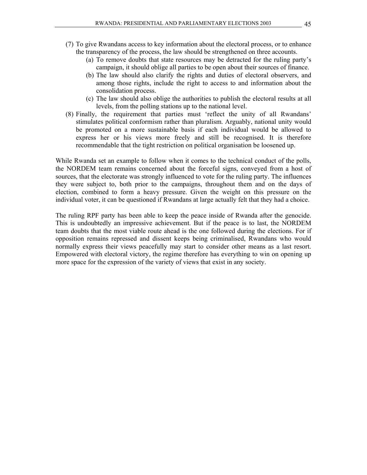- (7) To give Rwandans access to key information about the electoral process, or to enhance the transparency of the process, the law should be strengthened on three accounts.
	- (a) To remove doubts that state resources may be detracted for the ruling party's campaign, it should oblige all parties to be open about their sources of finance.
	- (b) The law should also clarify the rights and duties of electoral observers, and among those rights, include the right to access to and information about the consolidation process.
	- (c) The law should also oblige the authorities to publish the electoral results at all levels, from the polling stations up to the national level.
- (8) Finally, the requirement that parties must 'reflect the unity of all Rwandans' stimulates political conformism rather than pluralism. Arguably, national unity would be promoted on a more sustainable basis if each individual would be allowed to express her or his views more freely and still be recognised. It is therefore recommendable that the tight restriction on political organisation be loosened up.

While Rwanda set an example to follow when it comes to the technical conduct of the polls, the NORDEM team remains concerned about the forceful signs, conveyed from a host of sources, that the electorate was strongly influenced to vote for the ruling party. The influences they were subject to, both prior to the campaigns, throughout them and on the days of election, combined to form a heavy pressure. Given the weight on this pressure on the individual voter, it can be questioned if Rwandans at large actually felt that they had a choice.

The ruling RPF party has been able to keep the peace inside of Rwanda after the genocide. This is undoubtedly an impressive achievement. But if the peace is to last, the NORDEM team doubts that the most viable route ahead is the one followed during the elections. For if opposition remains repressed and dissent keeps being criminalised, Rwandans who would normally express their views peacefully may start to consider other means as a last resort. Empowered with electoral victory, the regime therefore has everything to win on opening up more space for the expression of the variety of views that exist in any society.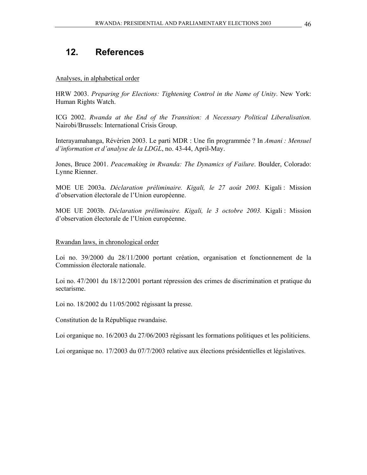# **12. References**

#### Analyses, in alphabetical order

HRW 2003. *Preparing for Elections: Tightening Control in the Name of Unity*. New York: Human Rights Watch.

ICG 2002. *Rwanda at the End of the Transition: A Necessary Political Liberalisation.* Nairobi/Brussels: International Crisis Group.

Interayamahanga, Révérien 2003. Le parti MDR : Une fin programmée ? In *Amani : Mensuel d'information et d'analyse de la LDGL*, no. 43-44, April-May.

Jones, Bruce 2001. *Peacemaking in Rwanda: The Dynamics of Failure*. Boulder, Colorado: Lynne Rienner.

MOE UE 2003a. *Déclaration préliminaire. Kigali, le 27 août 2003.* Kigali : Mission d'observation électorale de l'Union européenne.

MOE UE 2003b. *Déclaration préliminaire. Kigali, le 3 octobre 2003.* Kigali : Mission d'observation électorale de l'Union européenne.

#### Rwandan laws, in chronological order

Loi no. 39/2000 du 28/11/2000 portant création, organisation et fonctionnement de la Commission électorale nationale.

Loi no. 47/2001 du 18/12/2001 portant répression des crimes de discrimination et pratique du sectarisme.

Loi no. 18/2002 du 11/05/2002 régissant la presse.

Constitution de la République rwandaise.

Loi organique no. 16/2003 du 27/06/2003 régissant les formations politiques et les politiciens.

Loi organique no. 17/2003 du 07/7/2003 relative aux élections présidentielles et législatives.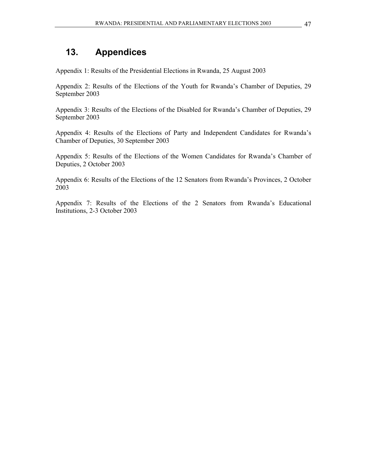# **13. Appendices**

Appendix 1: Results of the Presidential Elections in Rwanda, 25 August 2003

Appendix 2: Results of the Elections of the Youth for Rwanda's Chamber of Deputies, 29 September 2003

Appendix 3: Results of the Elections of the Disabled for Rwanda's Chamber of Deputies, 29 September 2003

Appendix 4: Results of the Elections of Party and Independent Candidates for Rwanda's Chamber of Deputies, 30 September 2003

Appendix 5: Results of the Elections of the Women Candidates for Rwanda's Chamber of Deputies, 2 October 2003

Appendix 6: Results of the Elections of the 12 Senators from Rwanda's Provinces, 2 October 2003

Appendix 7: Results of the Elections of the 2 Senators from Rwanda's Educational Institutions, 2-3 October 2003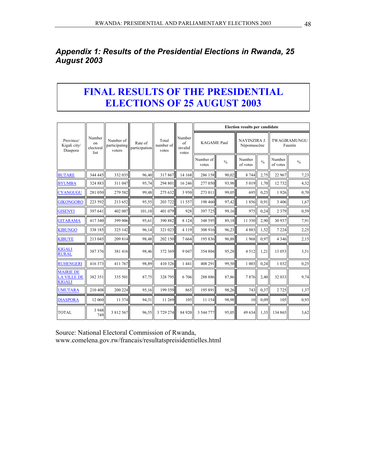# *Appendix 1: Results of the Presidential Elections in Rwanda, 25 August 2003*

# **FINAL RESULTS OF THE PRESIDENTIAL ELECTIONS OF 25 AUGUST 2003**

|                                                         |                                   |                                      |                          |                             |                                  | <b>Election results per candidate</b> |               |                             |               |                    |                         |
|---------------------------------------------------------|-----------------------------------|--------------------------------------|--------------------------|-----------------------------|----------------------------------|---------------------------------------|---------------|-----------------------------|---------------|--------------------|-------------------------|
| Province/<br>Kigali city/<br>Diaspora                   | Number<br>on<br>electoral<br>list | Number of<br>participating<br>voters | Rate of<br>participation | Total<br>number of<br>votes | Number<br>of<br>invalid<br>votes | <b>KAGAME Paul</b>                    |               | NAYINZIRA J.<br>Népomuscène |               |                    | TWAGIRAMUNGU<br>Faustin |
|                                                         |                                   |                                      |                          |                             |                                  | Number of<br>votes                    | $\frac{0}{0}$ | Number<br>of votes          | $\frac{0}{0}$ | Number<br>of votes | $\frac{0}{0}$           |
| <b>BUTARE</b>                                           | 344 445                           | 332 035                              | 96,40                    | 317867                      | 14 168                           | 286 158                               | 90,02         | 8 7 4 4                     | 2,75          | 22 967             | 7,23                    |
| <b>BYUMBA</b>                                           | 324 883                           | 311 047                              | 95,74                    | 294 801                     | 16 24 6                          | 277 050                               | 93,98         | 5 0 1 9                     | 1,70          | 12 732             | 4,32                    |
| <b>CYANGUGU</b>                                         | 281 050                           | 279 582                              | 99,48                    | 275 632                     | 3 9 5 0                          | 273 011                               | 99.05         | 695                         | 0.25          | 1926               | 0,70                    |
| <b>GIKONGORO</b>                                        | 223 592                           | 213 652                              | 95,55                    | 203 722                     | 11 557                           | 198 460                               | 97,42         | 1856                        | 0,91          | 3 4 0 6            | 1,67                    |
| <b>GISENYI</b>                                          | 397 641                           | 402 007                              | 101,10                   | 401 079                     | 928                              | 397 725                               | 99,16         | 975                         | 0,24          | 2 3 7 9            | 0,59                    |
| <b>GITARAMA</b>                                         | 417340                            | 399 006                              | 95,61                    | 390 882                     | 8 1 2 4                          | 348 595                               | 89,18         | 11 350                      | 2,90          | 30 937             | 7,91                    |
| <b>KIBUNGO</b>                                          | 338 185                           | 325 142                              | 96,14                    | 321 023                     | 4 1 1 9                          | 308 916                               | 96,23         | 4883                        | 1,52          | 7 2 2 4            | 2,25                    |
| <b>KIBUYE</b>                                           | 213 045                           | 209 814                              | 98,48                    | 202 150                     | 7664                             | 195 836                               | 96,88         | 1968                        | 0.97          | 4 3 4 6            | 2,15                    |
| <b>KIGALI</b><br><b>RURAL</b>                           | 387 376                           | 381416                               | 98,46                    | 372 369                     | 9 0 4 7                          | 354 804                               | 95,28         | 4512                        | 1,21          | 13 053             | 3,51                    |
| <b>RUHENGERI</b>                                        | 416 373                           | 411 767                              | 98,89                    | 410 326                     | 1 4 4 1                          | 408 291                               | 99,50         | 1 0 0 3                     | 0,24          | 1 0 3 2            | 0,25                    |
| <b>MAIRIE DE</b><br><b>LA VILLE DE</b><br><b>KIGALI</b> | 382 351                           | 335 501                              | 87,75                    | 328 795                     | 6 70 6                           | 288 886                               | 87,86         | 7876                        | 2,40          | 32 033             | 9,74                    |
| <b>UMUTARA</b>                                          | 210 408                           | 200 224                              | 95,16                    | 199 359                     | 865                              | 195 891                               | 98,26         | 743                         | 0,37          | 2 7 2 5            | 1,37                    |
| <b>DIASPORA</b>                                         | 12 060                            | 11 374                               | 94,31                    | 11 269                      | 105                              | 11 154                                | 98,98         | 10                          | 0,09          | 105                | 0,93                    |
| <b>TOTAL</b>                                            | 3 9 4 8<br>749                    | 3 812 567                            | 96,55                    | 3 729 274                   | 84 920                           | 3 544 777                             | 95,05         | 49 634                      | 1,33          | 134 865            | 3,62                    |

Source: National Electoral Commission of Rwanda, www.comelena.gov.rw/francais/resultatspreisidentielles.html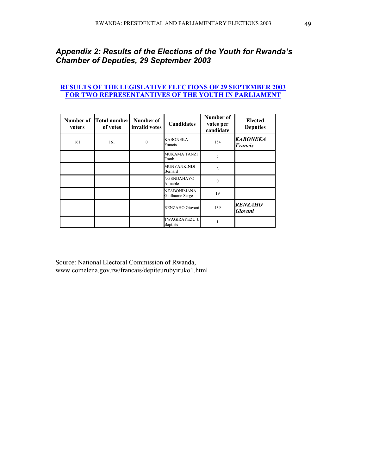# *Appendix 2: Results of the Elections of the Youth for Rwanda's Chamber of Deputies, 29 September 2003*

#### **RESULTS OF THE LEGISLATIVE ELECTIONS OF 29 SEPTEMBER 2003 FOR TWO REPRESENTANTIVES OF THE YOUTH IN PARLIAMENT**

| Number of<br>voters | <b>Total number</b><br>of votes | Number of<br>invalid votes | <b>Candidates</b>                       | Number of<br>votes per<br>candidate | <b>Elected</b><br><b>Deputies</b> |
|---------------------|---------------------------------|----------------------------|-----------------------------------------|-------------------------------------|-----------------------------------|
| 161                 | 161                             | $\mathbf{0}$               | KABONEKA<br>Francis                     | 154                                 | <b>KABONEKA</b><br><b>Francis</b> |
|                     |                                 |                            | <b>MUKAMA TANZI</b><br>Frank            | 5                                   |                                   |
|                     |                                 |                            | MUNYANKINDI<br>Bernard                  | $\overline{c}$                      |                                   |
|                     |                                 |                            | NGENDAHAYO<br>Aimable                   | $\theta$                            |                                   |
|                     |                                 |                            | <b>NZABONIMANA</b><br>Guillaume Serge   | 19                                  |                                   |
|                     |                                 |                            | RENZAHO Giovani                         | 139                                 | <b>RENZAHO</b><br>Giovani         |
|                     |                                 |                            | <b>TWAGIRAYEZU J</b><br><b>Baptiste</b> |                                     |                                   |

Source: National Electoral Commission of Rwanda, www.comelena.gov.rw/francais/depiteurubyiruko1.html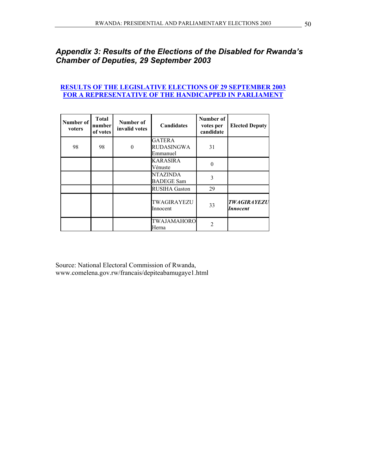# *Appendix 3: Results of the Elections of the Disabled for Rwanda's Chamber of Deputies, 29 September 2003*

#### **RESULTS OF THE LEGISLATIVE ELECTIONS OF 29 SEPTEMBER 2003 FOR A REPRESENTATIVE OF THE HANDICAPPED IN PARLIAMENT**

| Number of<br>voters | <b>Total</b><br>number<br>of votes | Number of<br>invalid votes | <b>Candidates</b>                       | Number of<br>votes per<br>candidate | <b>Elected Deputy</b>                 |
|---------------------|------------------------------------|----------------------------|-----------------------------------------|-------------------------------------|---------------------------------------|
| 98                  | 98                                 | $\Omega$                   | <b>GATERA</b><br>RUDASINGWA<br>Emmanuel | 31                                  |                                       |
|                     |                                    |                            | <b>KARASIRA</b><br>Vénuste              | $\theta$                            |                                       |
|                     |                                    |                            | <b>NTAZINDA</b><br><b>BADEGE Sam</b>    | 3                                   |                                       |
|                     |                                    |                            | <b>RUSIHA Gaston</b>                    | 29                                  |                                       |
|                     |                                    |                            | TWAGIRAYEZU<br>Innocent                 | 33                                  | <b>TWAGIRAYEZU</b><br><b>Innocent</b> |
|                     |                                    |                            | TWAJAMAHORO<br>Herna                    | $\mathfrak{D}$                      |                                       |

Source: National Electoral Commission of Rwanda, www.comelena.gov.rw/francais/depiteabamugaye1.html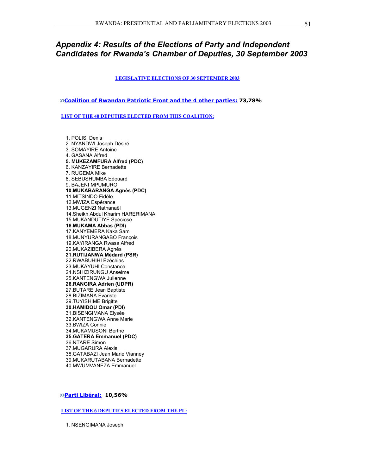### *Appendix 4: Results of the Elections of Party and Independent Candidates for Rwanda's Chamber of Deputies, 30 September 2003*

**LEGISLATIVE ELECTIONS OF 30 SEPTEMBER 2003**

**Coalition of Rwandan Patriotic Front and the 4 other parties: 73,78%** 

**LIST OF THE 40 DEPUTIES ELECTED FROM THIS COALITION:**

1. POLISI Denis 2. NYANDWI Joseph Désiré 3. SOMAYIRE Antoine 4. GASANA Alfred **5. MUKEZAMFURA Alfred (PDC)**  6. KANZAYIRE Bernadette 7. RUGEMA Mike 8. SEBUSHUMBA Edouard 9. BAJENI MPUMURO **10.MUKABARANGA Agnès (PDC)** 11.MITSINDO Fidèle 12.MWIZA Espérance 13.MUGENZI Nathanaël 14.Sheikh Abdul Kharim HARERIMANA 15.MUKANDUTIYE Spéciose **16.MUKAMA Abbas (PDI)** 17.KANYEMERA Kaka Sam 18.MUNYURANGABO François 19.KAYIRANGA Rwasa Alfred 20.MUKAZIBERA Agnès **21.RUTIJANWA Médard (PSR)** 22.RWABUHIHI Ezéchias 23.MUKAYUHI Constance 24.NSHIZIRUNGU Anselme 25.KANTENGWA Julienne **26.RANGIRA Adrien (UDPR)** 27.BUTARE Jean Baptiste 28.BIZIMANA Evariste 29.TUYISHIME Brigitte **30.HAMIDOU Omar (PDI)** 31.BISENGIMANA Elysée 32.KANTENGWA Anne Marie 33.BWIZA Connie 34.MUKAMUSONI Berthe **35.GATERA Emmanuel (PDC)** 36.NTARE Simon 37.MUGARURA Alexis 38.GATABAZI Jean Marie Vianney 39.MUKARUTABANA Bernadette 40.MWUMVANEZA Emmanuel

**Parti Libéral: 10,56%** 

**LIST OF THE 6 DEPUTIES ELECTED FROM THE PL:**

1. NSENGIMANA Joseph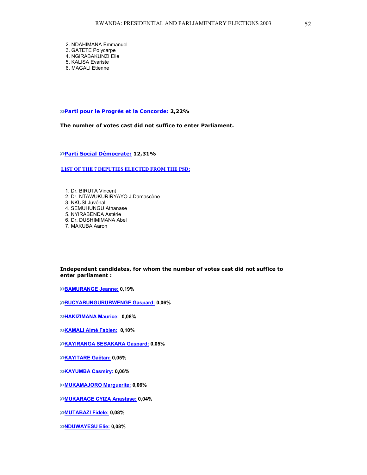2. NDAHIMANA Emmanuel 3. GATETE Polycarpe 4. NGIRABAKUNZI Elie 5. KALISA Evariste 6. MAGALI Etienne

**Parti pour le Progrès et la Concorde: 2,22%** 

**The number of votes cast did not suffice to enter Parliament.** 

**Parti Social Démocrate: 12,31%** 

**LIST OF THE 7 DEPUTIES ELECTED FROM THE PSD:**

1. Dr. BIRUTA Vincent 2. Dr. NTAWUKURIRYAYO J.Damascène 3. NKUSI Juvénal 4. SEMUHUNGU Athanase 5. NYIRABENDA Astérie 6. Dr. DUSHIMIMANA Abel 7. MAKUBA Aaron

#### **Independent candidates, for whom the number of votes cast did not suffice to enter parliament :**

**BAMURANGE Jeanne: 0,19%** 

**BUCYABUNGURUBWENGE Gaspard: 0,06%** 

**HAKIZIMANA Maurice: 0,08%** 

**KAMALI Aimé Fabien: 0,10%** 

**KAYIRANGA SEBAKARA Gaspard: 0,05%** 

**KAYITARE Gaëtan: 0,05%** 

**KAYUMBA Casmiry: 0,06%** 

**MUKAMAJORO Marguerite: 0,06%** 

**MUKARAGE CYIZA Anastase: 0,04%** 

**MUTABAZI Fidele: 0,08%** 

**NDUWAYESU Elie: 0,08%**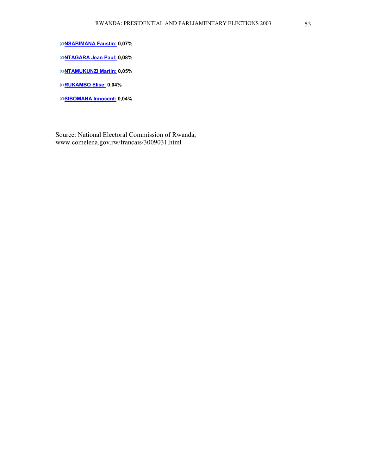**NSABIMANA Faustin: 0,07%** 

**NTAGARA Jean Paul: 0,08%** 

**NTAMUKUNZI Martin: 0,05%** 

**RUKAMBO Elise: 0,04%** 

**SIBOMANA Innocent: 0,04%** 

Source: National Electoral Commission of Rwanda, www.comelena.gov.rw/francais/3009031.html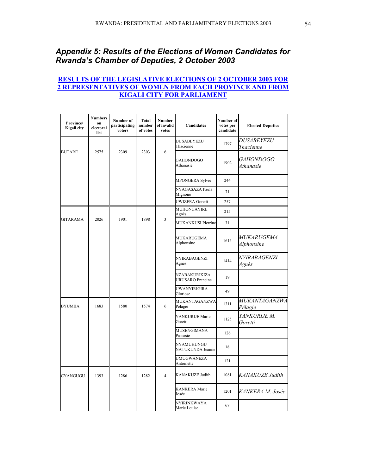# *Appendix 5: Results of the Elections of Women Candidates for Rwanda's Chamber of Deputies, 2 October 2003*

#### **RESULTS OF THE LEGISLATIVE ELECTIONS OF 2 OCTOBER 2003 FOR 2 REPRESENTATIVES OF WOMEN FROM EACH PROVINCE AND FROM KIGALI CITY FOR PARLIAMENT**

| Province/<br>Kigali city | <b>Numbers</b><br><b>on</b><br>electoral<br>list | Number of<br>participating<br>voters | Total<br>number<br>of votes | <b>Number</b><br>of invalid<br>votes | <b>Candidates</b>                        | Number of<br>votes per<br>candidate | <b>Elected Deputies</b>         |
|--------------------------|--------------------------------------------------|--------------------------------------|-----------------------------|--------------------------------------|------------------------------------------|-------------------------------------|---------------------------------|
|                          |                                                  |                                      |                             |                                      | DUSABEYEZU<br>Thacienne                  | 1797                                | <b>DUSABEYEZU</b><br>Thacienne  |
| <b>BUTARE</b>            | 2575                                             | 2309                                 | 2303                        | 6                                    | <b>GAHONDOGO</b><br>Athanasie            | 1902                                | GAHONDOGO<br>Athanasie          |
|                          |                                                  |                                      |                             |                                      | MPONGERA Sylvie                          | 244                                 |                                 |
|                          |                                                  |                                      |                             |                                      | NYAGASAZA Paula<br>Mignone               | 71                                  |                                 |
|                          |                                                  |                                      |                             |                                      | <b>UWIZERA Goretti</b>                   | 257                                 |                                 |
|                          |                                                  |                                      |                             |                                      | MUHONGAYIRE<br>Agnès                     | 215                                 |                                 |
| <b>GITARAMA</b>          | 2026                                             | 1901                                 | 1898                        | 3                                    | <b>MUKANKUSI Pierrine</b>                | 31                                  |                                 |
|                          |                                                  |                                      |                             |                                      | MUKARUGEMA<br>Alphonsine                 | 1615                                | <i>MUKARUGEMA</i><br>Alphonsine |
|                          |                                                  |                                      |                             |                                      | NYIRABAGENZI<br>Agnès                    | 1414                                | NYIRABAGENZI<br>Agnès           |
|                          |                                                  |                                      |                             |                                      | NZABAKURIKIZA<br><b>URUSARO</b> Francine | 19                                  |                                 |
|                          |                                                  |                                      |                             |                                      | UWANYIRIGIRA<br>Gloriose                 | 49                                  |                                 |
| <b>BYUMBA</b>            | 1683                                             | 1580                                 | 1574                        | 6                                    | MUKANTAGANZWA<br>Pélagie                 | 1311                                | <i>MUKANTAGANZWA</i><br>Pélagie |
|                          |                                                  |                                      |                             |                                      | YANKURIJE Marie<br>Goretti               | 1125                                | YANKURIJE M.<br>Goretti         |
|                          |                                                  |                                      |                             |                                      | MUSENGIMANA<br>Pascasie                  | 126                                 |                                 |
|                          |                                                  |                                      |                             |                                      | NYAMUHUNGU<br>NATUKUNDA Jeanne           | 18                                  |                                 |
|                          |                                                  |                                      |                             |                                      | UMUGWANEZA<br>Antoinette                 | 121                                 |                                 |
| <b>CYANGUGU</b>          | 1393                                             | 1286                                 | 1282                        | $\overline{4}$                       | <b>KANAKUZE Judith</b>                   | 1081                                | KANAKUZE Judith                 |
|                          |                                                  |                                      |                             |                                      | <b>KANKERA</b> Marie<br>Josée            | 1201                                | KANKERA M. Josée                |
|                          |                                                  |                                      |                             |                                      | NYIRINKWAYA<br>Marie Louise              | 67                                  |                                 |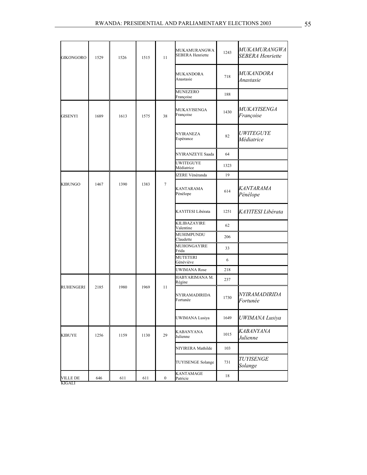| <b>GIKONGORO</b> | 1529 | 1526 | 1515 | 11               | MUKAMURANGWA<br><b>SEBERA Henriette</b> | 1243 | <b>MUKAMURANGWA</b><br><b>SEBERA Henriette</b> |
|------------------|------|------|------|------------------|-----------------------------------------|------|------------------------------------------------|
|                  |      |      |      |                  | MUKANDORA<br>Anastasie                  | 718  | <i>MUKANDORA</i><br>Anastasie                  |
|                  |      |      |      |                  | <b>MUNEZERO</b><br>Françoise            | 188  |                                                |
| GISENYI          | 1689 | 1613 | 1575 | 38               | MUKAYISENGA<br>Françoise                | 1430 | <i>MUKAYISENGA</i><br>Françoise                |
|                  |      |      |      |                  | NYIRANEZA<br>Espérance                  | 82   | <i>UWITEGUYE</i><br>Médiatrice                 |
|                  |      |      |      |                  | NYIRANZEYE Saada                        | 64   |                                                |
|                  |      |      |      |                  | <b>UWITEGUYE</b><br>Médiatrice          | 1323 |                                                |
|                  |      |      |      |                  | <b>IZERE Vénéranda</b>                  | 19   |                                                |
| <b>KIBUNGO</b>   | 1467 | 1390 | 1383 | 7                | <b>KANTARAMA</b><br>Pénélope            | 614  | KANTARAMA<br>Pénélope                          |
|                  |      |      |      |                  | KAYITESI Libérata                       | 1251 | KAYITESI Libérata                              |
|                  |      |      |      |                  | KILIBAZAYIRE<br>Valentine               | 62   |                                                |
|                  |      |      |      |                  | MUHIMPUNDU<br>Claudette                 | 206  |                                                |
|                  |      |      |      |                  | MUHONGAYIRE<br>Frida                    | 33   |                                                |
|                  |      |      |      |                  | <b>MUTETERI</b><br>Généviève            | 6    |                                                |
|                  |      |      |      |                  | <b>UWIMANA Rose</b>                     | 218  |                                                |
|                  |      |      |      |                  | HABYARIMANA M.<br>Régine                | 237  |                                                |
| <b>RUHENGERI</b> | 2185 | 1980 | 1969 | 11               | <b>NYIRAMADIRIDA</b><br>Fortunée        | 1730 | NYIRAMADIRIDA<br>Fortunée                      |
|                  |      |      |      |                  | UWIMANA Lusiya                          | 1649 | UWIMANA Lusiya                                 |
| KIBUYE           | 1256 | 1159 | 1130 | 29               | KABANYANA<br>Julienne                   | 1015 | KABANYANA<br>Julienne                          |
|                  |      |      |      |                  | NIYIRERA Mathilde                       | 103  |                                                |
|                  |      |      |      |                  | <b>TUYISENGE Solange</b>                | 731  | <b>TUYISENGE</b><br>Solange                    |
| <b>VILLE DE</b>  | 646  | 611  | 611  | $\boldsymbol{0}$ | <b>KANTAMAGE</b><br>Patricie            | 18   |                                                |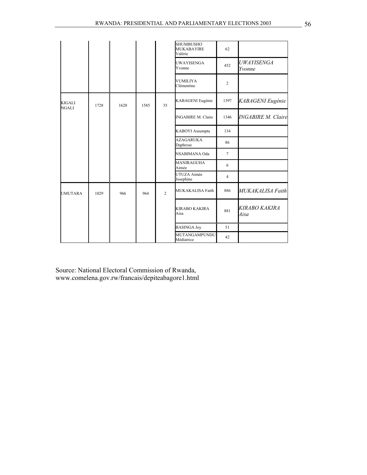|                        |      |      |      |                | <b>SHUMBUSHO</b><br><b>MUKABAYIRE</b><br>Valérie | 62              |                           |
|------------------------|------|------|------|----------------|--------------------------------------------------|-----------------|---------------------------|
|                        |      |      |      |                | UWAYISENGA<br>Yvonne                             | 452             | UWAYISENGA<br>Yvonne      |
|                        |      |      |      |                | <b>VUMILIYA</b><br>Clémentine                    | $\overline{c}$  |                           |
| KIGALI<br><b>NGALI</b> | 1728 | 1620 | 1585 | 35             | KABAGENI Eugénie                                 | 1397            | KABAGENI Eugénie          |
|                        |      |      |      |                | <b>INGABIRE M. Claire</b>                        | 1346            | <b>INGABIRE M. Claire</b> |
|                        |      |      |      |                | KABOYI Assumpta                                  | 134             |                           |
|                        |      |      |      |                | <b>AZAGARUKA</b><br>Daphrose                     | 86              |                           |
|                        |      |      |      |                | NSABIMANA Oda                                    | $7\phantom{.0}$ |                           |
|                        |      |      |      |                | <b>MANIRAGUHA</b><br>Aimée                       | 6               |                           |
|                        |      |      |      |                | UTUZA Aimée<br>Josephine                         | $\overline{4}$  |                           |
| <b>UMUTARA</b>         | 1029 | 966  | 964  | $\overline{2}$ | MUKAKALISA Faith                                 | 886             | MUKAKALISA Faith          |
|                        |      |      |      |                | <b>KIRABO KAKIRA</b><br>Aisa                     | 881             | KIRABO KAKIRA<br>Aisa     |
|                        |      |      |      |                | <b>BASINGA Joy</b>                               | 51              |                           |
|                        |      |      |      |                | MUTANGAMPUNDU<br>Médiatrice                      | 42              |                           |

Source: National Electoral Commission of Rwanda, www.comelena.gov.rw/francais/depiteabagore1.html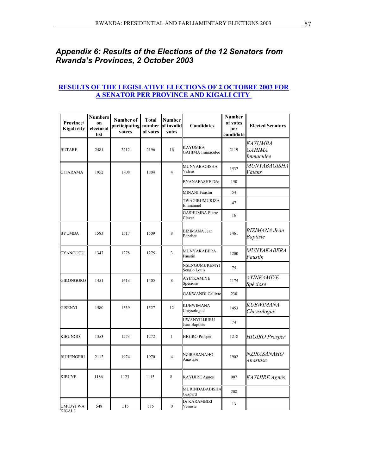# *Appendix 6: Results of the Elections of the 12 Senators from Rwanda's Provinces, 2 October 2003*

#### **RESULTS OF THE LEGISLATIVE ELECTIONS OF 2 OCTOBRE 2003 FOR A SENATOR PER PROVINCE AND KIGALI CITY**

| Province/<br>Kigali city | <b>Numbers</b><br>on<br>electoral<br>list | Number of<br>participating<br>voters | Total<br>of votes | <b>Number</b><br>number of invalid<br>votes | <b>Candidates</b>                       | <b>Number</b><br>of votes<br>per<br>candidate | <b>Elected Senators</b>               |
|--------------------------|-------------------------------------------|--------------------------------------|-------------------|---------------------------------------------|-----------------------------------------|-----------------------------------------------|---------------------------------------|
| <b>BUTARE</b>            | 2481                                      | 2212                                 | 2196              | 16                                          | <b>KAYUMBA</b><br>GAHIMA Immaculée      | 2119                                          | KAYUMBA<br><b>GAHIMA</b><br>Immaculée |
| <b>GITARAMA</b>          | 1952                                      | 1808                                 | 1804              | $\overline{4}$                              | MUNYABAGISHA<br>Valens                  | 1537                                          | <i>MUNYABAGISHA</i><br>Valens         |
|                          |                                           |                                      |                   |                                             | BYANAFASHE Déo                          | 150                                           |                                       |
|                          |                                           |                                      |                   |                                             | <b>MINANI Faustin</b>                   | 54                                            |                                       |
|                          |                                           |                                      |                   |                                             | TWAGIRUMUKIZA<br>Emmanuel               | 47                                            |                                       |
|                          |                                           |                                      |                   |                                             | <b>GASHUMBA Pierre</b><br>Claver        | 16                                            |                                       |
| <b>BYUMBA</b>            | 1583                                      | 1517                                 | 1509              | 8                                           | <b>BIZIMANA</b> Jean<br><b>Baptiste</b> | 1461                                          | BIZIMANA Jean<br><b>Baptiste</b>      |
| CYANGUGU                 | 1347                                      | 1278                                 | 1275              | 3                                           | MUNYAKABERA<br>Faustin                  | 1200                                          | MUNYAKABERA<br>Faustin                |
|                          |                                           |                                      |                   |                                             | NSENGUMUREMYI<br>Senglo Louis           | 75                                            |                                       |
| <b>GIKONGORO</b>         | 1451                                      | 1413                                 | 1405              | 8                                           | AYINKAMIYE<br>Spéciose                  | 1175                                          | <i>AYINKAMIYE</i><br>Spéciose         |
|                          |                                           |                                      |                   |                                             | <b>GAKWANDI Callixte</b>                | 230                                           |                                       |
| <b>GISENYI</b>           | 1580                                      | 1539                                 | 1527              | 12                                          | KUBWIMANA<br>Chrysologue                | 1453                                          | KUBWIMANA<br>Chrysologue              |
|                          |                                           |                                      |                   |                                             | UWANYILIJURU<br>Jean Baptiste           | 74                                            |                                       |
| <b>KIBUNGO</b>           | 1353                                      | 1273                                 | 1272              | $\mathbf{1}$                                | <b>HIGIRO</b> Prosper                   | 1218                                          | <b>HIGIRO</b> Prosper                 |
| <b>RUHENGERI</b>         | 2112                                      | 1974                                 | 1970              | $\overline{4}$                              | NZIRASANAHO<br>Anastase                 | 1902                                          | <i>NZIRASANAHO</i><br>Anastase        |
| <b>KIBUYE</b>            | 1186                                      | 1123                                 | 1115              | 8                                           | KAYIJIRE Agnès                          | 907                                           | KAYIJIRE Agnès                        |
|                          |                                           |                                      |                   |                                             | MURINDABABISHA<br>Gaspard               | 208                                           |                                       |
| UMUJYI WA<br>KIGALI      | 548                                       | 515                                  | 515               | $\mathbf{0}$                                | Dr KARAMBIZI<br>Vénuste                 | 13                                            |                                       |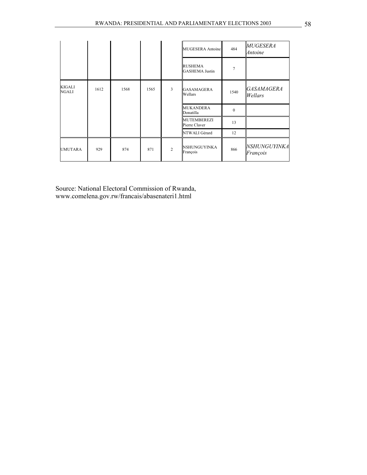|                        |      |      |      |                | <b>MUGESERA</b> Antoine                 | 484          | <i>MUGESERA</i><br>Antoine      |
|------------------------|------|------|------|----------------|-----------------------------------------|--------------|---------------------------------|
|                        |      |      |      |                | <b>RUSHEMA</b><br><b>GASHEMA Justin</b> | 7            |                                 |
| KIGALI<br><b>NGALI</b> | 1612 | 1568 | 1565 | 3              | GASAMAGERA<br>Wellars                   | 1540         | <i>GASAMAGERA</i><br>Wellars    |
|                        |      |      |      |                | <b>MUKANDERA</b><br>Donatilla           | $\mathbf{0}$ |                                 |
|                        |      |      |      |                | <b>MUTEMBEREZI</b><br>Pierre Claver     | 13           |                                 |
|                        |      |      |      |                | NTWALI Gérard                           | 12           |                                 |
| UMUTARA                | 929  | 874  | 871  | $\overline{2}$ | NSHUNGUYINKA<br>François                | 866          | <i>NSHUNGUYINKA</i><br>François |

Source: National Electoral Commission of Rwanda, www.comelena.gov.rw/francais/abasenateri1.html